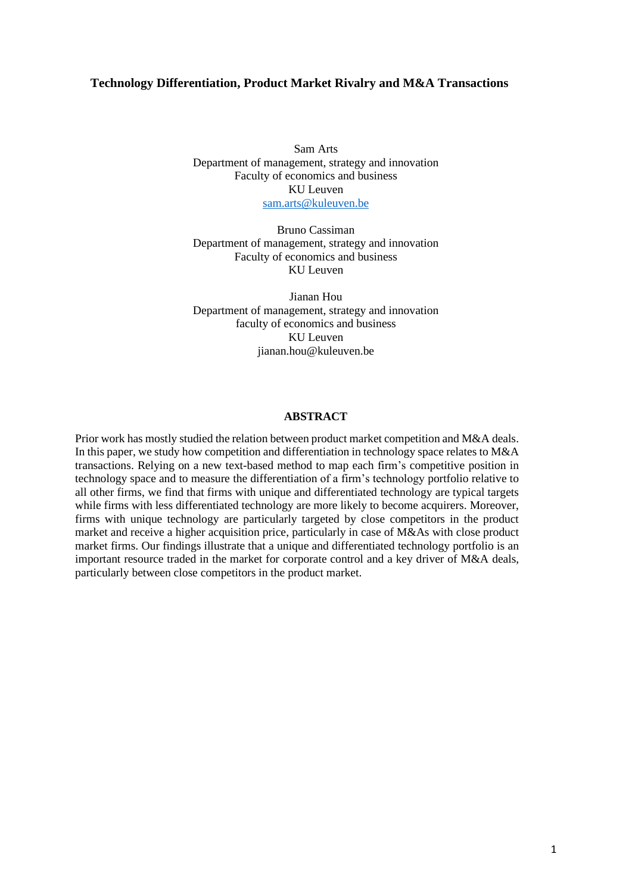# **Technology Differentiation, Product Market Rivalry and M&A Transactions**

Sam Arts Department of management, strategy and innovation Faculty of economics and business KU Leuven [sam.arts@kuleuven.be](mailto:sam.arts@kuleuven.be)

Bruno Cassiman Department of management, strategy and innovation Faculty of economics and business KU Leuven

Jianan Hou Department of management, strategy and innovation faculty of economics and business KU Leuven jianan.hou@kuleuven.be

## **ABSTRACT**

Prior work has mostly studied the relation between product market competition and M&A deals. In this paper, we study how competition and differentiation in technology space relates to M&A transactions. Relying on a new text-based method to map each firm's competitive position in technology space and to measure the differentiation of a firm's technology portfolio relative to all other firms, we find that firms with unique and differentiated technology are typical targets while firms with less differentiated technology are more likely to become acquirers. Moreover, firms with unique technology are particularly targeted by close competitors in the product market and receive a higher acquisition price, particularly in case of M&As with close product market firms. Our findings illustrate that a unique and differentiated technology portfolio is an important resource traded in the market for corporate control and a key driver of M&A deals, particularly between close competitors in the product market.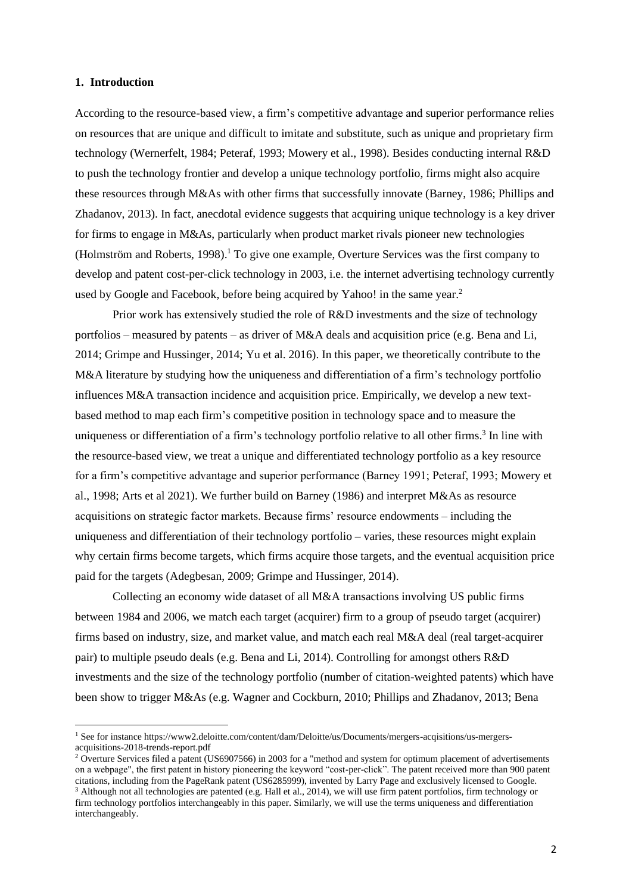### **1. Introduction**

According to the resource-based view, a firm's competitive advantage and superior performance relies on resources that are unique and difficult to imitate and substitute, such as unique and proprietary firm technology (Wernerfelt, 1984; Peteraf, 1993; Mowery et al., 1998). Besides conducting internal R&D to push the technology frontier and develop a unique technology portfolio, firms might also acquire these resources through M&As with other firms that successfully innovate (Barney, 1986; Phillips and Zhadanov, 2013). In fact, anecdotal evidence suggests that acquiring unique technology is a key driver for firms to engage in M&As, particularly when product market rivals pioneer new technologies (Holmström and Roberts, 1998). <sup>1</sup> To give one example, Overture Services was the first company to develop and patent cost-per-click technology in 2003, i.e. the internet advertising technology currently used by Google and Facebook, before being acquired by Yahoo! in the same year.<sup>2</sup>

Prior work has extensively studied the role of R&D investments and the size of technology portfolios – measured by patents – as driver of M&A deals and acquisition price (e.g. Bena and Li, 2014; Grimpe and Hussinger, 2014; Yu et al. 2016). In this paper, we theoretically contribute to the M&A literature by studying how the uniqueness and differentiation of a firm's technology portfolio influences M&A transaction incidence and acquisition price. Empirically, we develop a new textbased method to map each firm's competitive position in technology space and to measure the uniqueness or differentiation of a firm's technology portfolio relative to all other firms.<sup>3</sup> In line with the resource-based view, we treat a unique and differentiated technology portfolio as a key resource for a firm's competitive advantage and superior performance (Barney 1991; Peteraf, 1993; Mowery et al., 1998; Arts et al 2021). We further build on Barney (1986) and interpret M&As as resource acquisitions on strategic factor markets. Because firms' resource endowments – including the uniqueness and differentiation of their technology portfolio – varies, these resources might explain why certain firms become targets, which firms acquire those targets, and the eventual acquisition price paid for the targets (Adegbesan, 2009; Grimpe and Hussinger, 2014).

Collecting an economy wide dataset of all M&A transactions involving US public firms between 1984 and 2006, we match each target (acquirer) firm to a group of pseudo target (acquirer) firms based on industry, size, and market value, and match each real M&A deal (real target-acquirer pair) to multiple pseudo deals (e.g. Bena and Li, 2014). Controlling for amongst others R&D investments and the size of the technology portfolio (number of citation-weighted patents) which have been show to trigger M&As (e.g. Wagner and Cockburn, 2010; Phillips and Zhadanov, 2013; Bena

<sup>1</sup> See for instance https://www2.deloitte.com/content/dam/Deloitte/us/Documents/mergers-acqisitions/us-mergersacquisitions-2018-trends-report.pdf

<sup>&</sup>lt;sup>2</sup> Overture Services filed a patent (US6907566) in 2003 for a "method and system for optimum placement of advertisements on a webpage", the first patent in history pioneering the keyword "cost-per-click". The patent received more than 900 patent citations, including from the PageRank patent (US6285999), invented by Larry Page and exclusively licensed to Google. <sup>3</sup> Although not all technologies are patented (e.g. Hall et al., 2014), we will use firm patent portfolios, firm technology or firm technology portfolios interchangeably in this paper. Similarly, we will use the terms uniqueness and differentiation interchangeably.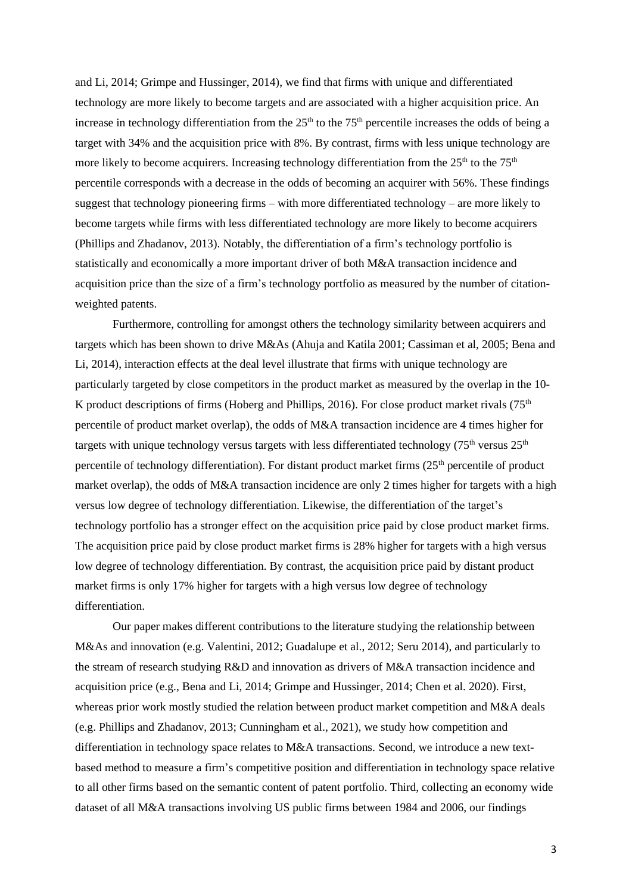and Li, 2014; Grimpe and Hussinger, 2014), we find that firms with unique and differentiated technology are more likely to become targets and are associated with a higher acquisition price. An increase in technology differentiation from the  $25<sup>th</sup>$  to the  $75<sup>th</sup>$  percentile increases the odds of being a target with 34% and the acquisition price with 8%. By contrast, firms with less unique technology are more likely to become acquirers. Increasing technology differentiation from the  $25<sup>th</sup>$  to the  $75<sup>th</sup>$ percentile corresponds with a decrease in the odds of becoming an acquirer with 56%. These findings suggest that technology pioneering firms – with more differentiated technology – are more likely to become targets while firms with less differentiated technology are more likely to become acquirers (Phillips and Zhadanov, 2013). Notably, the differentiation of a firm's technology portfolio is statistically and economically a more important driver of both M&A transaction incidence and acquisition price than the size of a firm's technology portfolio as measured by the number of citationweighted patents.

Furthermore, controlling for amongst others the technology similarity between acquirers and targets which has been shown to drive M&As (Ahuja and Katila 2001; Cassiman et al, 2005; Bena and Li, 2014), interaction effects at the deal level illustrate that firms with unique technology are particularly targeted by close competitors in the product market as measured by the overlap in the 10- K product descriptions of firms (Hoberg and Phillips, 2016). For close product market rivals ( $75<sup>th</sup>$ percentile of product market overlap), the odds of M&A transaction incidence are 4 times higher for targets with unique technology versus targets with less differentiated technology ( $75<sup>th</sup>$  versus  $25<sup>th</sup>$ ) percentile of technology differentiation). For distant product market firms  $(25<sup>th</sup>$  percentile of product market overlap), the odds of M&A transaction incidence are only 2 times higher for targets with a high versus low degree of technology differentiation. Likewise, the differentiation of the target's technology portfolio has a stronger effect on the acquisition price paid by close product market firms. The acquisition price paid by close product market firms is 28% higher for targets with a high versus low degree of technology differentiation. By contrast, the acquisition price paid by distant product market firms is only 17% higher for targets with a high versus low degree of technology differentiation.

Our paper makes different contributions to the literature studying the relationship between M&As and innovation (e.g. Valentini, 2012; Guadalupe et al., 2012; Seru 2014), and particularly to the stream of research studying R&D and innovation as drivers of M&A transaction incidence and acquisition price (e.g., Bena and Li, 2014; Grimpe and Hussinger, 2014; Chen et al. 2020). First, whereas prior work mostly studied the relation between product market competition and M&A deals (e.g. Phillips and Zhadanov, 2013; Cunningham et al., 2021), we study how competition and differentiation in technology space relates to M&A transactions. Second, we introduce a new textbased method to measure a firm's competitive position and differentiation in technology space relative to all other firms based on the semantic content of patent portfolio. Third, collecting an economy wide dataset of all M&A transactions involving US public firms between 1984 and 2006, our findings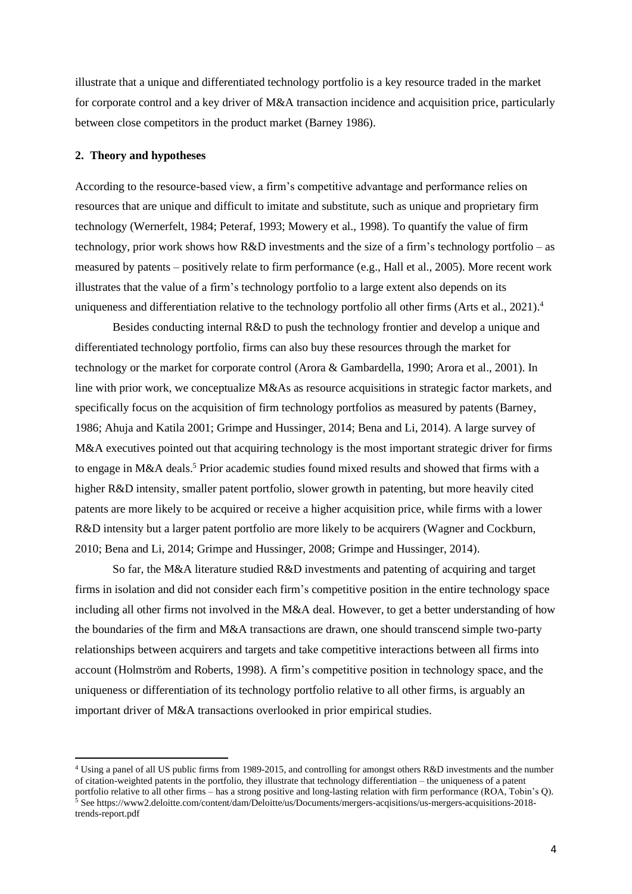illustrate that a unique and differentiated technology portfolio is a key resource traded in the market for corporate control and a key driver of M&A transaction incidence and acquisition price, particularly between close competitors in the product market (Barney 1986).

#### **2. Theory and hypotheses**

According to the resource-based view, a firm's competitive advantage and performance relies on resources that are unique and difficult to imitate and substitute, such as unique and proprietary firm technology (Wernerfelt, 1984; Peteraf, 1993; Mowery et al., 1998). To quantify the value of firm technology, prior work shows how R&D investments and the size of a firm's technology portfolio – as measured by patents – positively relate to firm performance (e.g., Hall et al., 2005). More recent work illustrates that the value of a firm's technology portfolio to a large extent also depends on its uniqueness and differentiation relative to the technology portfolio all other firms (Arts et al., 2021).<sup>4</sup>

Besides conducting internal R&D to push the technology frontier and develop a unique and differentiated technology portfolio, firms can also buy these resources through the market for technology or the market for corporate control (Arora & Gambardella, 1990; Arora et al., 2001). In line with prior work, we conceptualize M&As as resource acquisitions in strategic factor markets, and specifically focus on the acquisition of firm technology portfolios as measured by patents (Barney, 1986; Ahuja and Katila 2001; Grimpe and Hussinger, 2014; Bena and Li, 2014). A large survey of M&A executives pointed out that acquiring technology is the most important strategic driver for firms to engage in M&A deals. <sup>5</sup> Prior academic studies found mixed results and showed that firms with a higher R&D intensity, smaller patent portfolio, slower growth in patenting, but more heavily cited patents are more likely to be acquired or receive a higher acquisition price, while firms with a lower R&D intensity but a larger patent portfolio are more likely to be acquirers (Wagner and Cockburn, 2010; Bena and Li, 2014; Grimpe and Hussinger, 2008; Grimpe and Hussinger, 2014).

So far, the M&A literature studied R&D investments and patenting of acquiring and target firms in isolation and did not consider each firm's competitive position in the entire technology space including all other firms not involved in the M&A deal. However, to get a better understanding of how the boundaries of the firm and M&A transactions are drawn, one should transcend simple two-party relationships between acquirers and targets and take competitive interactions between all firms into account (Holmström and Roberts, 1998). A firm's competitive position in technology space, and the uniqueness or differentiation of its technology portfolio relative to all other firms, is arguably an important driver of M&A transactions overlooked in prior empirical studies.

<sup>4</sup> Using a panel of all US public firms from 1989-2015, and controlling for amongst others R&D investments and the number of citation-weighted patents in the portfolio, they illustrate that technology differentiation – the uniqueness of a patent portfolio relative to all other firms – has a strong positive and long-lasting relation with firm performance (ROA, Tobin's Q). <sup>5</sup> See https://www2.deloitte.com/content/dam/Deloitte/us/Documents/mergers-acqisitions/us-mergers-acquisitions-2018 trends-report.pdf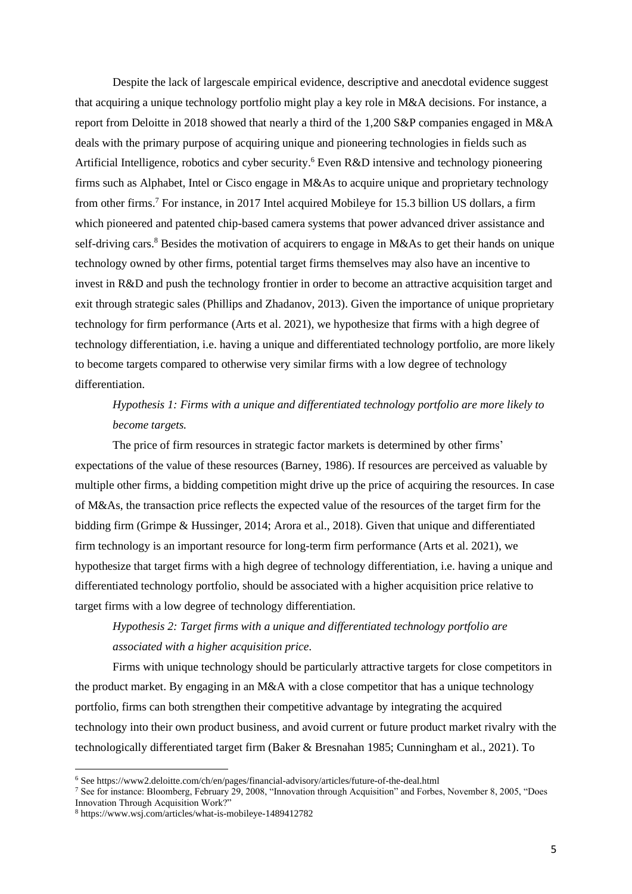Despite the lack of largescale empirical evidence, descriptive and anecdotal evidence suggest that acquiring a unique technology portfolio might play a key role in M&A decisions. For instance, a report from Deloitte in 2018 showed that nearly a third of the 1,200 S&P companies engaged in M&A deals with the primary purpose of acquiring unique and pioneering technologies in fields such as Artificial Intelligence, robotics and cyber security. <sup>6</sup> Even R&D intensive and technology pioneering firms such as Alphabet, Intel or Cisco engage in M&As to acquire unique and proprietary technology from other firms. <sup>7</sup> For instance, in 2017 Intel acquired Mobileye for 15.3 billion US dollars, a firm which pioneered and patented chip-based camera systems that power advanced driver assistance and self-driving cars.<sup>8</sup> Besides the motivation of acquirers to engage in M&As to get their hands on unique technology owned by other firms, potential target firms themselves may also have an incentive to invest in R&D and push the technology frontier in order to become an attractive acquisition target and exit through strategic sales (Phillips and Zhadanov, 2013). Given the importance of unique proprietary technology for firm performance (Arts et al. 2021), we hypothesize that firms with a high degree of technology differentiation, i.e. having a unique and differentiated technology portfolio, are more likely to become targets compared to otherwise very similar firms with a low degree of technology differentiation.

# *Hypothesis 1: Firms with a unique and differentiated technology portfolio are more likely to become targets.*

The price of firm resources in strategic factor markets is determined by other firms' expectations of the value of these resources (Barney, 1986). If resources are perceived as valuable by multiple other firms, a bidding competition might drive up the price of acquiring the resources. In case of M&As, the transaction price reflects the expected value of the resources of the target firm for the bidding firm (Grimpe & Hussinger, 2014; Arora et al., 2018). Given that unique and differentiated firm technology is an important resource for long-term firm performance (Arts et al. 2021), we hypothesize that target firms with a high degree of technology differentiation, i.e. having a unique and differentiated technology portfolio, should be associated with a higher acquisition price relative to target firms with a low degree of technology differentiation.

# *Hypothesis 2: Target firms with a unique and differentiated technology portfolio are associated with a higher acquisition price.*

Firms with unique technology should be particularly attractive targets for close competitors in the product market. By engaging in an M&A with a close competitor that has a unique technology portfolio, firms can both strengthen their competitive advantage by integrating the acquired technology into their own product business, and avoid current or future product market rivalry with the technologically differentiated target firm (Baker & Bresnahan 1985; Cunningham et al., 2021). To

<sup>6</sup> See https://www2.deloitte.com/ch/en/pages/financial-advisory/articles/future-of-the-deal.html

<sup>7</sup> See for instance: Bloomberg, February 29, 2008, "Innovation through Acquisition" and Forbes, November 8, 2005, "Does Innovation Through Acquisition Work?"

<sup>8</sup> https://www.wsj.com/articles/what-is-mobileye-1489412782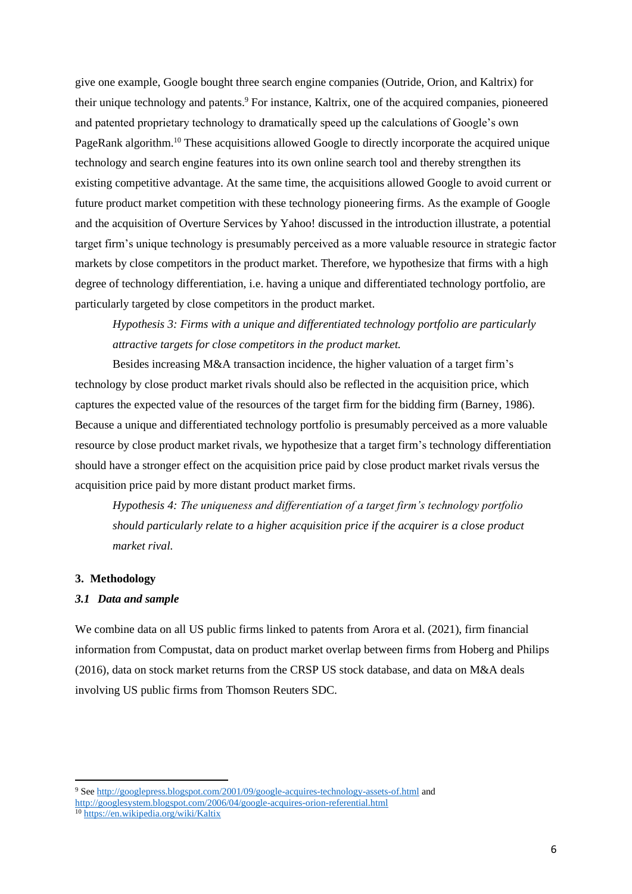give one example, Google bought three search engine companies (Outride, Orion, and Kaltrix) for their unique technology and patents. <sup>9</sup> For instance, Kaltrix, one of the acquired companies, pioneered and patented proprietary technology to dramatically speed up the calculations of Google's own PageRank algorithm.<sup>10</sup> These acquisitions allowed Google to directly incorporate the acquired unique technology and search engine features into its own online search tool and thereby strengthen its existing competitive advantage. At the same time, the acquisitions allowed Google to avoid current or future product market competition with these technology pioneering firms. As the example of Google and the acquisition of Overture Services by Yahoo! discussed in the introduction illustrate, a potential target firm's unique technology is presumably perceived as a more valuable resource in strategic factor markets by close competitors in the product market. Therefore, we hypothesize that firms with a high degree of technology differentiation, i.e. having a unique and differentiated technology portfolio, are particularly targeted by close competitors in the product market.

*Hypothesis 3: Firms with a unique and differentiated technology portfolio are particularly attractive targets for close competitors in the product market.*

Besides increasing M&A transaction incidence, the higher valuation of a target firm's technology by close product market rivals should also be reflected in the acquisition price, which captures the expected value of the resources of the target firm for the bidding firm (Barney, 1986). Because a unique and differentiated technology portfolio is presumably perceived as a more valuable resource by close product market rivals, we hypothesize that a target firm's technology differentiation should have a stronger effect on the acquisition price paid by close product market rivals versus the acquisition price paid by more distant product market firms.

*Hypothesis 4: The uniqueness and differentiation of a target firm's technology portfolio should particularly relate to a higher acquisition price if the acquirer is a close product market rival.*

## **3. Methodology**

## *3.1 Data and sample*

We combine data on all US public firms linked to patents from Arora et al. (2021), firm financial information from Compustat, data on product market overlap between firms from Hoberg and Philips (2016), data on stock market returns from the CRSP US stock database, and data on M&A deals involving US public firms from Thomson Reuters SDC.

<sup>9</sup> Se[e http://googlepress.blogspot.com/2001/09/google-acquires-technology-assets-of.html](http://googlepress.blogspot.com/2001/09/google-acquires-technology-assets-of.html) and

<http://googlesystem.blogspot.com/2006/04/google-acquires-orion-referential.html> <sup>10</sup> <https://en.wikipedia.org/wiki/Kaltix>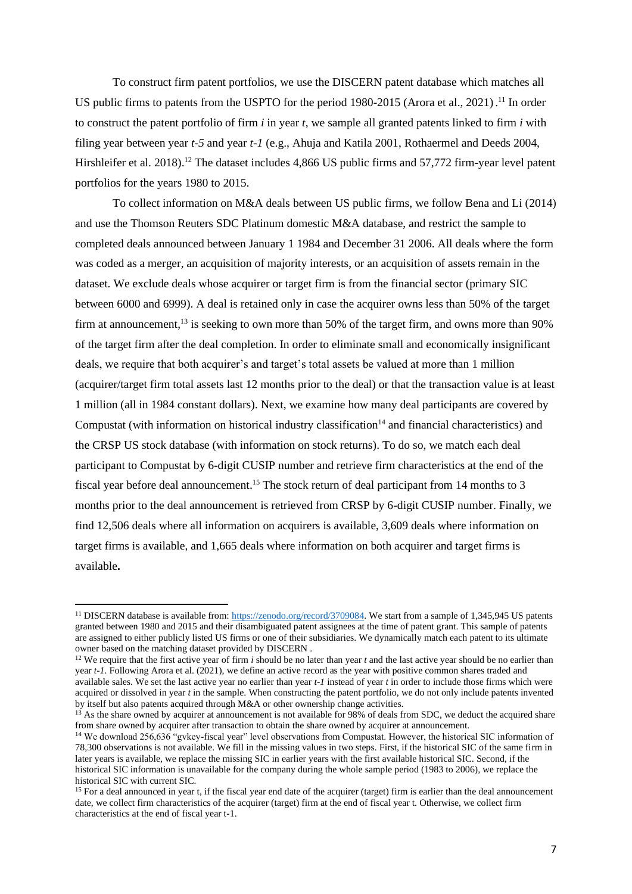To construct firm patent portfolios, we use the DISCERN patent database which matches all US public firms to patents from the USPTO for the period 1980-2015 (Arora et al., 2021). <sup>11</sup> In order to construct the patent portfolio of firm *i* in year *t*, we sample all granted patents linked to firm *i* with filing year between year *t-5* and year *t-1* (e.g., Ahuja and Katila 2001, Rothaermel and Deeds 2004, Hirshleifer et al. 2018).<sup>12</sup> The dataset includes 4,866 US public firms and 57,772 firm-year level patent portfolios for the years 1980 to 2015.

To collect information on M&A deals between US public firms, we follow Bena and Li (2014) and use the Thomson Reuters SDC Platinum domestic M&A database, and restrict the sample to completed deals announced between January 1 1984 and December 31 2006. All deals where the form was coded as a merger, an acquisition of majority interests, or an acquisition of assets remain in the dataset. We exclude deals whose acquirer or target firm is from the financial sector (primary SIC between 6000 and 6999). A deal is retained only in case the acquirer owns less than 50% of the target firm at announcement,<sup>13</sup> is seeking to own more than 50% of the target firm, and owns more than 90% of the target firm after the deal completion. In order to eliminate small and economically insignificant deals, we require that both acquirer's and target's total assets be valued at more than 1 million (acquirer/target firm total assets last 12 months prior to the deal) or that the transaction value is at least 1 million (all in 1984 constant dollars). Next, we examine how many deal participants are covered by Compustat (with information on historical industry classification<sup>14</sup> and financial characteristics) and the CRSP US stock database (with information on stock returns). To do so, we match each deal participant to Compustat by 6-digit CUSIP number and retrieve firm characteristics at the end of the fiscal year before deal announcement.<sup>15</sup> The stock return of deal participant from 14 months to 3 months prior to the deal announcement is retrieved from CRSP by 6-digit CUSIP number. Finally, we find 12,506 deals where all information on acquirers is available, 3,609 deals where information on target firms is available, and 1,665 deals where information on both acquirer and target firms is available**.** 

<sup>&</sup>lt;sup>11</sup> DISCERN database is available from[: https://zenodo.org/record/3709084.](https://zenodo.org/record/3709084) We start from a sample of 1,345,945 US patents granted between 1980 and 2015 and their disambiguated patent assignees at the time of patent grant. This sample of patents are assigned to either publicly listed US firms or one of their subsidiaries. We dynamically match each patent to its ultimate owner based on the matching dataset provided by DISCERN .

<sup>&</sup>lt;sup>12</sup> We require that the first active year of firm *i* should be no later than year *t* and the last active year should be no earlier than year *t-1.* Following Arora et al. (2021), we define an active record as the year with positive common shares traded and available sales. We set the last active year no earlier than year *t-1* instead of year *t* in order to include those firms which were acquired or dissolved in year *t* in the sample. When constructing the patent portfolio, we do not only include patents invented by itself but also patents acquired through M&A or other ownership change activities.

<sup>&</sup>lt;sup>13</sup> As the share owned by acquirer at announcement is not available for 98% of deals from SDC, we deduct the acquired share from share owned by acquirer after transaction to obtain the share owned by acquirer at announcement.

<sup>&</sup>lt;sup>14</sup> We download 256,636 "gykey-fiscal year" level observations from Compustat. However, the historical SIC information of 78,300 observations is not available. We fill in the missing values in two steps. First, if the historical SIC of the same firm in later years is available, we replace the missing SIC in earlier years with the first available historical SIC. Second, if the historical SIC information is unavailable for the company during the whole sample period (1983 to 2006), we replace the historical SIC with current SIC.

<sup>&</sup>lt;sup>15</sup> For a deal announced in year t, if the fiscal year end date of the acquirer (target) firm is earlier than the deal announcement date, we collect firm characteristics of the acquirer (target) firm at the end of fiscal year t. Otherwise, we collect firm characteristics at the end of fiscal year t-1.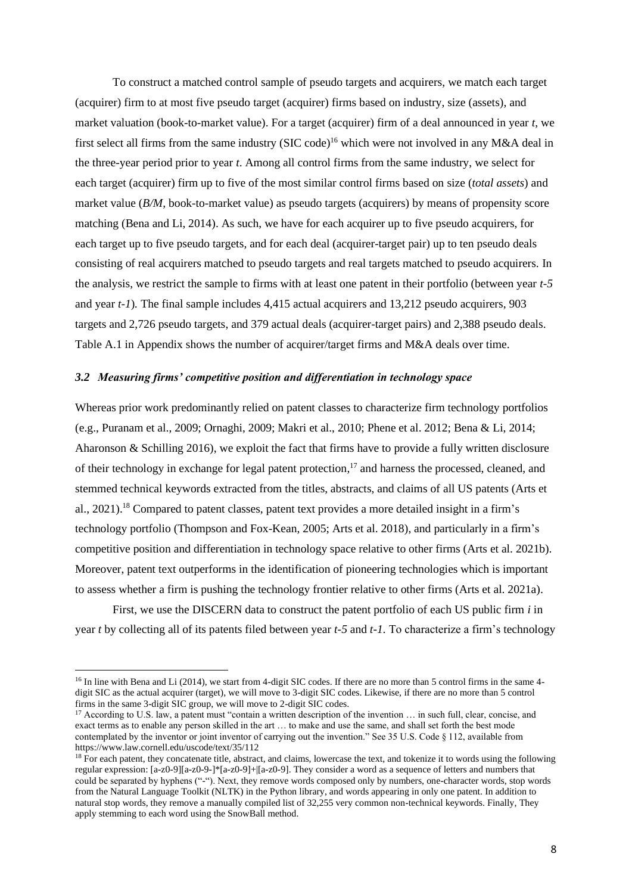To construct a matched control sample of pseudo targets and acquirers, we match each target (acquirer) firm to at most five pseudo target (acquirer) firms based on industry, size (assets), and market valuation (book-to-market value). For a target (acquirer) firm of a deal announced in year *t*, we first select all firms from the same industry (SIC code)<sup>16</sup> which were not involved in any M&A deal in the three-year period prior to year *t*. Among all control firms from the same industry, we select for each target (acquirer) firm up to five of the most similar control firms based on size (*total assets*) and market value (*B/M,* book-to-market value) as pseudo targets (acquirers) by means of propensity score matching (Bena and Li, 2014). As such, we have for each acquirer up to five pseudo acquirers, for each target up to five pseudo targets, and for each deal (acquirer-target pair) up to ten pseudo deals consisting of real acquirers matched to pseudo targets and real targets matched to pseudo acquirers. In the analysis, we restrict the sample to firms with at least one patent in their portfolio (between year *t-5* and year *t-1*)*.* The final sample includes 4,415 actual acquirers and 13,212 pseudo acquirers, 903 targets and 2,726 pseudo targets, and 379 actual deals (acquirer-target pairs) and 2,388 pseudo deals. Table A.1 in Appendix shows the number of acquirer/target firms and M&A deals over time.

## *3.2 Measuring firms' competitive position and differentiation in technology space*

Whereas prior work predominantly relied on patent classes to characterize firm technology portfolios (e.g., Puranam et al., 2009; Ornaghi, 2009; Makri et al., 2010; Phene et al. 2012; Bena & Li, 2014; Aharonson & Schilling 2016), we exploit the fact that firms have to provide a fully written disclosure of their technology in exchange for legal patent protection,<sup>17</sup> and harness the processed, cleaned, and stemmed technical keywords extracted from the titles, abstracts, and claims of all US patents (Arts et al., 2021).<sup>18</sup> Compared to patent classes, patent text provides a more detailed insight in a firm's technology portfolio (Thompson and Fox-Kean, 2005; Arts et al. 2018), and particularly in a firm's competitive position and differentiation in technology space relative to other firms (Arts et al. 2021b). Moreover, patent text outperforms in the identification of pioneering technologies which is important to assess whether a firm is pushing the technology frontier relative to other firms (Arts et al. 2021a).

First, we use the DISCERN data to construct the patent portfolio of each US public firm *i* in year *t* by collecting all of its patents filed between year *t-5* and *t-1.* To characterize a firm's technology

<sup>&</sup>lt;sup>16</sup> In line with Bena and Li (2014), we start from 4-digit SIC codes. If there are no more than 5 control firms in the same 4digit SIC as the actual acquirer (target), we will move to 3-digit SIC codes. Likewise, if there are no more than 5 control firms in the same 3-digit SIC group, we will move to 2-digit SIC codes.

<sup>&</sup>lt;sup>17</sup> According to U.S. law, a patent must "contain a written description of the invention ... in such full, clear, concise, and exact terms as to enable any person skilled in the art … to make and use the same, and shall set forth the best mode contemplated by the inventor or joint inventor of carrying out the invention." See 35 U.S. Code § 112, available from <https://www.law.cornell.edu/uscode/text/35/112>

<sup>&</sup>lt;sup>18</sup> For each patent, they concatenate title, abstract, and claims, lowercase the text, and tokenize it to words using the following regular expression: [a-z0-9][a-z0-9-]\*[a-z0-9]+|[a-z0-9]. They consider a word as a sequence of letters and numbers that could be separated by hyphens ("-"). Next, they remove words composed only by numbers, one-character words, stop words from the Natural Language Toolkit (NLTK) in the Python library, and words appearing in only one patent. In addition to natural stop words, they remove a manually compiled list of 32,255 very common non-technical keywords. Finally, They apply stemming to each word using the SnowBall method.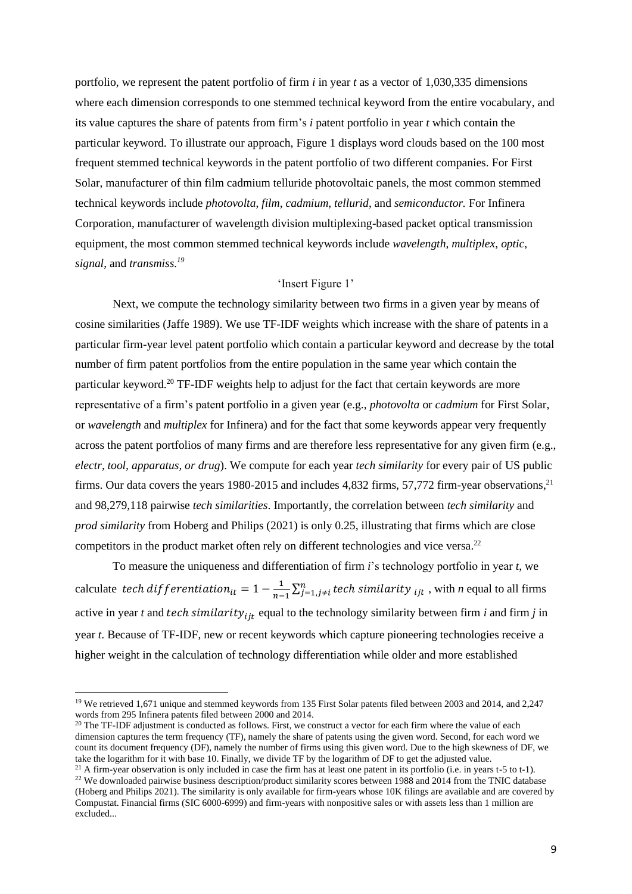portfolio, we represent the patent portfolio of firm *i* in year *t* as a vector of 1,030,335 dimensions where each dimension corresponds to one stemmed technical keyword from the entire vocabulary, and its value captures the share of patents from firm's *i* patent portfolio in year *t* which contain the particular keyword. To illustrate our approach, Figure 1 displays word clouds based on the 100 most frequent stemmed technical keywords in the patent portfolio of two different companies. For First Solar, manufacturer of thin film cadmium telluride photovoltaic panels, the most common stemmed technical keywords include *photovolta*, *film*, *cadmium*, *tellurid*, and *semiconductor.* For Infinera Corporation, manufacturer of wavelength division multiplexing-based packet optical transmission equipment, the most common stemmed technical keywords include *wavelength*, *multiplex*, *optic*, *signal*, and *transmiss. 19*

#### 'Insert Figure 1'

Next, we compute the technology similarity between two firms in a given year by means of cosine similarities (Jaffe 1989). We use TF-IDF weights which increase with the share of patents in a particular firm-year level patent portfolio which contain a particular keyword and decrease by the total number of firm patent portfolios from the entire population in the same year which contain the particular keyword.<sup>20</sup> TF-IDF weights help to adjust for the fact that certain keywords are more representative of a firm's patent portfolio in a given year (e.g., *photovolta* or *cadmium* for First Solar, or *wavelength* and *multiplex* for Infinera) and for the fact that some keywords appear very frequently across the patent portfolios of many firms and are therefore less representative for any given firm (e.g., *electr, tool, apparatus, or drug*). We compute for each year *tech similarity* for every pair of US public firms. Our data covers the years 1980-2015 and includes 4,832 firms, 57,772 firm-year observations,<sup>21</sup> and 98,279,118 pairwise *tech similarities*. Importantly, the correlation between *tech similarity* and *prod similarity* from Hoberg and Philips (2021) is only 0.25, illustrating that firms which are close competitors in the product market often rely on different technologies and vice versa.<sup>22</sup>

To measure the uniqueness and differentiation of firm *i*'s technology portfolio in year *t*, we calculate tech differentiation<sub>it</sub> =  $1 - \frac{1}{n}$  $\frac{1}{n-1}$ ∑ $_{j=1,j\neq i}^{n}$  *tech similarity*  $_{ijt}$ , with *n* equal to all firms active in year *t* and tech similarity<sub>ijt</sub> equal to the technology similarity between firm *i* and firm *j* in year *t*. Because of TF-IDF, new or recent keywords which capture pioneering technologies receive a higher weight in the calculation of technology differentiation while older and more established

<sup>21</sup> A firm-year observation is only included in case the firm has at least one patent in its portfolio (i.e. in years t-5 to t-1).  $22$  We downloaded pairwise business description/product similarity scores between 1988 and 2014 from the TNIC database (Hoberg and Philips 2021). The similarity is only available for firm-years whose 10K filings are available and are covered by Compustat. Financial firms (SIC 6000-6999) and firm-years with nonpositive sales or with assets less than 1 million are excluded...

<sup>&</sup>lt;sup>19</sup> We retrieved 1,671 unique and stemmed keywords from 135 First Solar patents filed between 2003 and 2014, and 2,247 words from 295 Infinera patents filed between 2000 and 2014.

 $20$  The TF-IDF adjustment is conducted as follows. First, we construct a vector for each firm where the value of each dimension captures the term frequency (TF), namely the share of patents using the given word. Second, for each word we count its document frequency (DF), namely the number of firms using this given word. Due to the high skewness of DF, we take the logarithm for it with base 10. Finally, we divide TF by the logarithm of DF to get the adjusted value.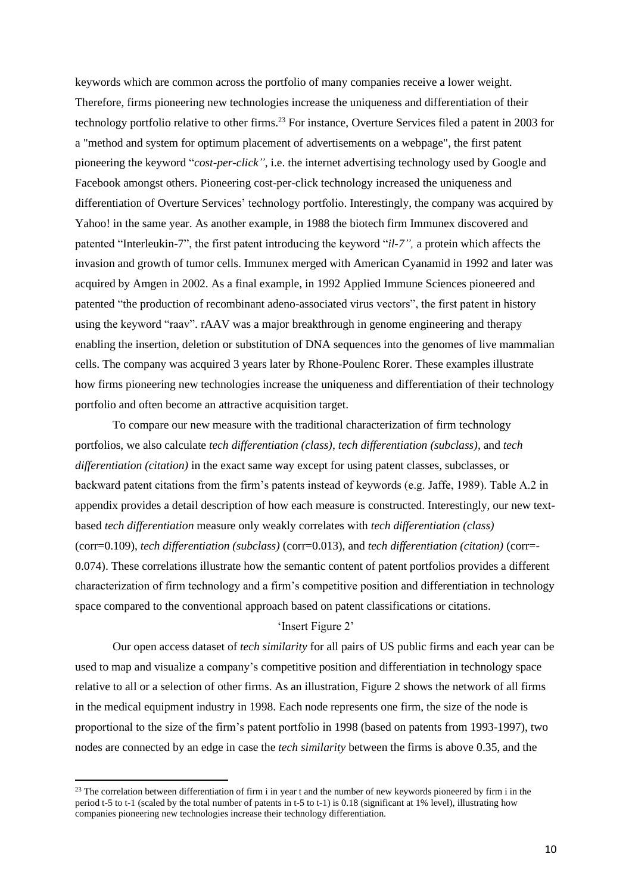keywords which are common across the portfolio of many companies receive a lower weight. Therefore, firms pioneering new technologies increase the uniqueness and differentiation of their technology portfolio relative to other firms. <sup>23</sup> For instance, Overture Services filed a patent in 2003 for a "method and system for optimum placement of advertisements on a webpage", the first patent pioneering the keyword "*cost-per-click"*, i.e. the internet advertising technology used by Google and Facebook amongst others. Pioneering cost-per-click technology increased the uniqueness and differentiation of Overture Services' technology portfolio. Interestingly, the company was acquired by Yahoo! in the same year. As another example, in 1988 the biotech firm Immunex discovered and patented "Interleukin-7", the first patent introducing the keyword "*il-7",* a protein which affects the invasion and growth of tumor cells. Immunex merged with American Cyanamid in 1992 and later was acquired by Amgen in 2002. As a final example, in 1992 Applied Immune Sciences pioneered and patented "the production of recombinant adeno-associated virus vectors", the first patent in history using the keyword "raav". rAAV was a major breakthrough in genome engineering and therapy enabling the insertion, deletion or substitution of DNA sequences into the genomes of live mammalian cells. The company was acquired 3 years later by Rhone-Poulenc Rorer. These examples illustrate how firms pioneering new technologies increase the uniqueness and differentiation of their technology portfolio and often become an attractive acquisition target.

To compare our new measure with the traditional characterization of firm technology portfolios, we also calculate *tech differentiation (class)*, *tech differentiation (subclass),* and *tech differentiation (citation)* in the exact same way except for using patent classes, subclasses, or backward patent citations from the firm's patents instead of keywords (e.g. Jaffe, 1989). Table A.2 in appendix provides a detail description of how each measure is constructed. Interestingly, our new textbased *tech differentiation* measure only weakly correlates with *tech differentiation (class)* (corr=0.109), *tech differentiation (subclass)* (corr=0.013), and *tech differentiation (citation)* (corr=- 0.074). These correlations illustrate how the semantic content of patent portfolios provides a different characterization of firm technology and a firm's competitive position and differentiation in technology space compared to the conventional approach based on patent classifications or citations.

# 'Insert Figure 2'

Our open access dataset of *tech similarity* for all pairs of US public firms and each year can be used to map and visualize a company's competitive position and differentiation in technology space relative to all or a selection of other firms. As an illustration, Figure 2 shows the network of all firms in the medical equipment industry in 1998. Each node represents one firm, the size of the node is proportional to the size of the firm's patent portfolio in 1998 (based on patents from 1993-1997), two nodes are connected by an edge in case the *tech similarity* between the firms is above 0.35, and the

 $^{23}$  The correlation between differentiation of firm i in year t and the number of new keywords pioneered by firm i in the period t-5 to t-1 (scaled by the total number of patents in t-5 to t-1) is 0.18 (significant at 1% level), illustrating how companies pioneering new technologies increase their technology differentiation.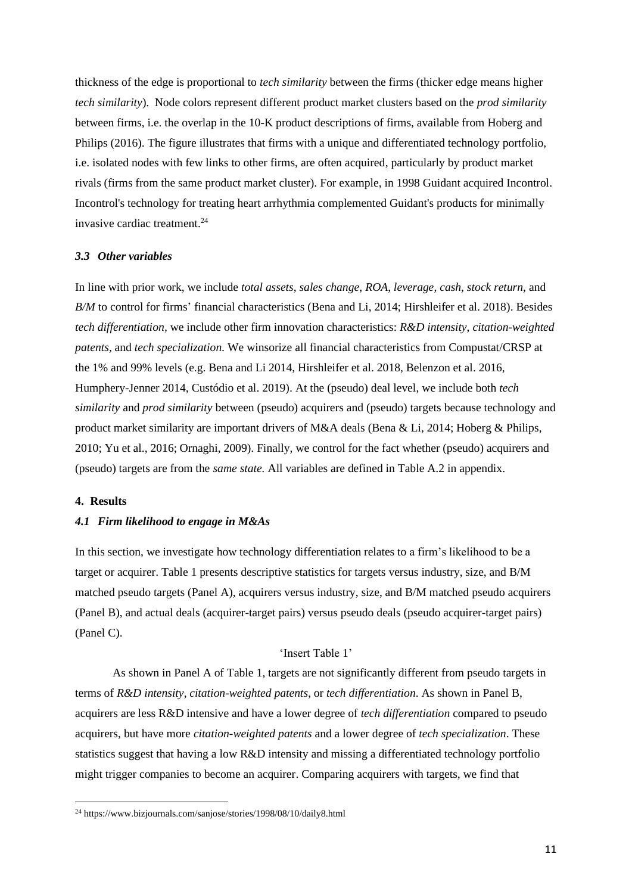thickness of the edge is proportional to *tech similarity* between the firms (thicker edge means higher *tech similarity*). Node colors represent different product market clusters based on the *prod similarity* between firms, i.e. the overlap in the 10-K product descriptions of firms, available from Hoberg and Philips (2016). The figure illustrates that firms with a unique and differentiated technology portfolio, i.e. isolated nodes with few links to other firms, are often acquired, particularly by product market rivals (firms from the same product market cluster). For example, in 1998 Guidant acquired Incontrol. Incontrol's technology for treating heart arrhythmia complemented Guidant's products for minimally invasive cardiac treatment. 24

#### *3.3 Other variables*

In line with prior work, we include *total assets*, *sales change*, *ROA*, *leverage*, *cash*, *stock return*, and *B/M* to control for firms' financial characteristics (Bena and Li, 2014; Hirshleifer et al. 2018). Besides *tech differentiation*, we include other firm innovation characteristics: *R&D intensity*, *citation-weighted patents,* and *tech specialization.* We winsorize all financial characteristics from Compustat/CRSP at the 1% and 99% levels (e.g. Bena and Li 2014, Hirshleifer et al. 2018, Belenzon et al. 2016, Humphery-Jenner 2014, Custódio et al. 2019). At the (pseudo) deal level, we include both *tech similarity* and *prod similarity* between (pseudo) acquirers and (pseudo) targets because technology and product market similarity are important drivers of M&A deals (Bena & Li, 2014; Hoberg & Philips, 2010; Yu et al., 2016; Ornaghi, 2009). Finally, we control for the fact whether (pseudo) acquirers and (pseudo) targets are from the *same state.* All variables are defined in Table A.2 in appendix.

#### **4. Results**

### *4.1 Firm likelihood to engage in M&As*

In this section, we investigate how technology differentiation relates to a firm's likelihood to be a target or acquirer. Table 1 presents descriptive statistics for targets versus industry, size, and B/M matched pseudo targets (Panel A), acquirers versus industry, size, and B/M matched pseudo acquirers (Panel B), and actual deals (acquirer-target pairs) versus pseudo deals (pseudo acquirer-target pairs) (Panel C).

### 'Insert Table 1'

As shown in Panel A of Table 1, targets are not significantly different from pseudo targets in terms of *R&D intensity*, *citation-weighted patents*, or *tech differentiation*. As shown in Panel B, acquirers are less R&D intensive and have a lower degree of *tech differentiation* compared to pseudo acquirers, but have more *citation-weighted patents* and a lower degree of *tech specialization*. These statistics suggest that having a low R&D intensity and missing a differentiated technology portfolio might trigger companies to become an acquirer. Comparing acquirers with targets, we find that

<sup>24</sup> https://www.bizjournals.com/sanjose/stories/1998/08/10/daily8.html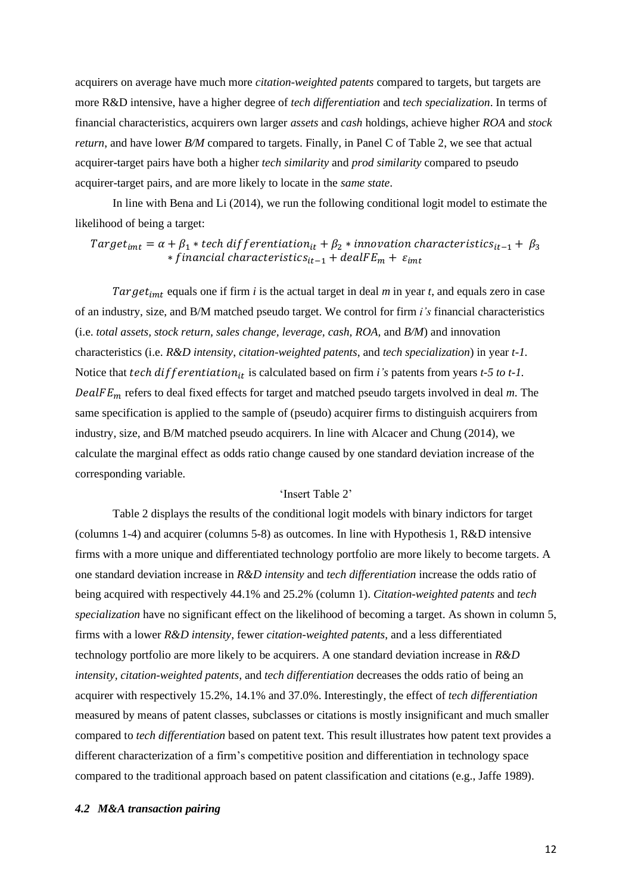acquirers on average have much more *citation-weighted patents* compared to targets, but targets are more R&D intensive, have a higher degree of *tech differentiation* and *tech specialization*. In terms of financial characteristics, acquirers own larger *assets* and *cash* holdings, achieve higher *ROA* and *stock return*, and have lower *B/M* compared to targets. Finally, in Panel C of Table 2, we see that actual acquirer-target pairs have both a higher *tech similarity* and *prod similarity* compared to pseudo acquirer-target pairs, and are more likely to locate in the *same state*.

In line with Bena and Li (2014), we run the following conditional logit model to estimate the likelihood of being a target:

Target<sub>imt</sub> =  $\alpha + \beta_1 *$  tech differentiation<sub>it</sub> +  $\beta_2 *$  innovation characteristics<sub>it-1</sub> +  $\beta_3$ *\** financial characteristics<sub>it-1</sub> +  $dealFE_m + \varepsilon_{imt}$ 

Target<sub>imt</sub> equals one if firm  $i$  is the actual target in deal  $m$  in year  $t$ , and equals zero in case of an industry, size, and B/M matched pseudo target. We control for firm *i's* financial characteristics (i.e. *total assets, stock return, sales change, leverage, cash, ROA,* and *B/M*) and innovation characteristics (i.e. *R&D intensity*, *citation-weighted patents*, and *tech specialization*) in year *t-1.*  Notice that tech differentiation<sub>it</sub> is calculated based on firm *i's* patents from years *t-5 to t-1*. DealFE<sub>m</sub> refers to deal fixed effects for target and matched pseudo targets involved in deal *m*. The same specification is applied to the sample of (pseudo) acquirer firms to distinguish acquirers from industry, size, and B/M matched pseudo acquirers. In line with Alcacer and Chung (2014), we calculate the marginal effect as odds ratio change caused by one standard deviation increase of the corresponding variable.

# 'Insert Table 2'

Table 2 displays the results of the conditional logit models with binary indictors for target (columns 1-4) and acquirer (columns 5-8) as outcomes. In line with Hypothesis 1, R&D intensive firms with a more unique and differentiated technology portfolio are more likely to become targets. A one standard deviation increase in *R&D intensity* and *tech differentiation* increase the odds ratio of being acquired with respectively 44.1% and 25.2% (column 1). *Citation-weighted patents* and *tech specialization* have no significant effect on the likelihood of becoming a target. As shown in column 5, firms with a lower *R&D intensity*, fewer *citation-weighted patents*, and a less differentiated technology portfolio are more likely to be acquirers. A one standard deviation increase in *R&D intensity, citation-weighted patents,* and *tech differentiation* decreases the odds ratio of being an acquirer with respectively 15.2%, 14.1% and 37.0%. Interestingly, the effect of *tech differentiation* measured by means of patent classes, subclasses or citations is mostly insignificant and much smaller compared to *tech differentiation* based on patent text. This result illustrates how patent text provides a different characterization of a firm's competitive position and differentiation in technology space compared to the traditional approach based on patent classification and citations (e.g., Jaffe 1989).

#### *4.2 M&A transaction pairing*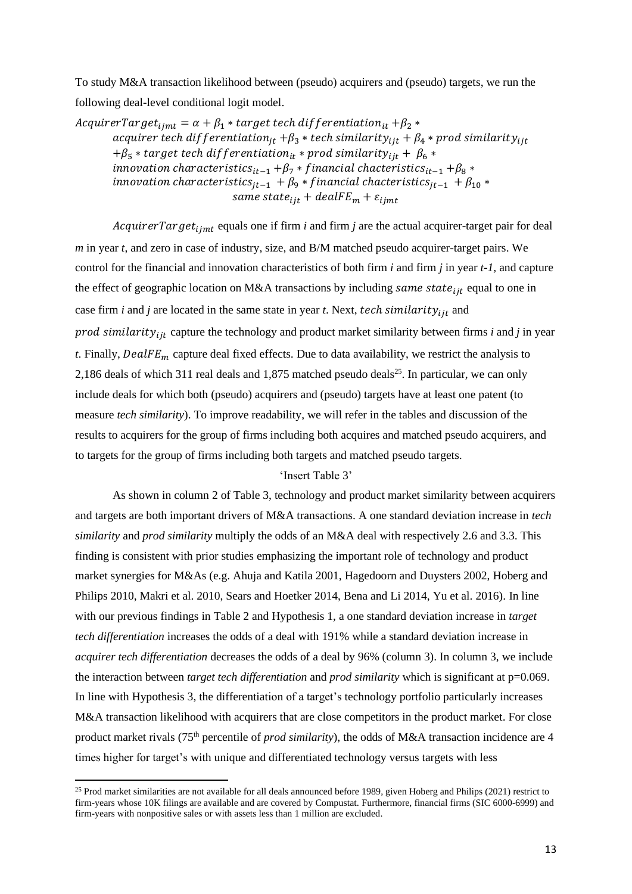To study M&A transaction likelihood between (pseudo) acquirers and (pseudo) targets, we run the following deal-level conditional logit model.

 $AcquireTarget_{iimt} = \alpha + \beta_1 * target tech\ differentiation_{it} + \beta_2 *$ acquirer tech differentiation<sub>it</sub> + $\beta_3$  \* tech similarity<sub>iit</sub> +  $\beta_4$  \* prod similarity<sub>iit</sub>  $+\beta_5 *$  target tech differentiation<sub>it</sub> \* prod similarity<sub>iit</sub> +  $\beta_6 *$ *innovation characteristics*<sub>it-1</sub> + $\beta$ <sub>7</sub> \* *financial chacteristics*<sub>it-1</sub> + $\beta$ <sub>8</sub> \* *innovation characteristics*<sub>it-1</sub> +  $\beta_9 * f$ *inancial chacteristics*<sub>it-1</sub> +  $\beta_{10} *$ same state<sub>iit</sub> +  $dealFE_m + \varepsilon_{iimt}$ 

AcquirerTarget<sub>ijmt</sub> equals one if firm *i* and firm *j* are the actual acquirer-target pair for deal *m* in year *t*, and zero in case of industry, size, and B/M matched pseudo acquirer-target pairs. We control for the financial and innovation characteristics of both firm *i* and firm *j* in year *t-1,* and capture the effect of geographic location on M&A transactions by including same state<sub>ijt</sub> equal to one in case firm *i* and *j* are located in the same state in year *t*. Next, tech similarity<sub>ijt</sub> and prod similarity<sub>iit</sub> capture the technology and product market similarity between firms *i* and *j* in year *t*. Finally,  $\text{DealFE}_m$  capture deal fixed effects. Due to data availability, we restrict the analysis to 2,186 deals of which 311 real deals and 1,875 matched pseudo deals<sup>25</sup>. In particular, we can only include deals for which both (pseudo) acquirers and (pseudo) targets have at least one patent (to measure *tech similarity*). To improve readability, we will refer in the tables and discussion of the results to acquirers for the group of firms including both acquires and matched pseudo acquirers, and to targets for the group of firms including both targets and matched pseudo targets.

# 'Insert Table 3'

As shown in column 2 of Table 3, technology and product market similarity between acquirers and targets are both important drivers of M&A transactions. A one standard deviation increase in *tech similarity* and *prod similarity* multiply the odds of an M&A deal with respectively 2.6 and 3.3. This finding is consistent with prior studies emphasizing the important role of technology and product market synergies for M&As (e.g. Ahuja and Katila 2001, Hagedoorn and Duysters 2002, Hoberg and Philips 2010, Makri et al. 2010, Sears and Hoetker 2014, Bena and Li 2014, Yu et al. 2016). In line with our previous findings in Table 2 and Hypothesis 1, a one standard deviation increase in *target tech differentiation* increases the odds of a deal with 191% while a standard deviation increase in *acquirer tech differentiation* decreases the odds of a deal by 96% (column 3). In column 3, we include the interaction between *target tech differentiation* and *prod similarity* which is significant at p=0.069. In line with Hypothesis 3, the differentiation of a target's technology portfolio particularly increases M&A transaction likelihood with acquirers that are close competitors in the product market. For close product market rivals (75<sup>th</sup> percentile of *prod similarity*), the odds of M&A transaction incidence are 4 times higher for target's with unique and differentiated technology versus targets with less

<sup>&</sup>lt;sup>25</sup> Prod market similarities are not available for all deals announced before 1989, given Hoberg and Philips (2021) restrict to firm-years whose 10K filings are available and are covered by Compustat. Furthermore, financial firms (SIC 6000-6999) and firm-years with nonpositive sales or with assets less than 1 million are excluded.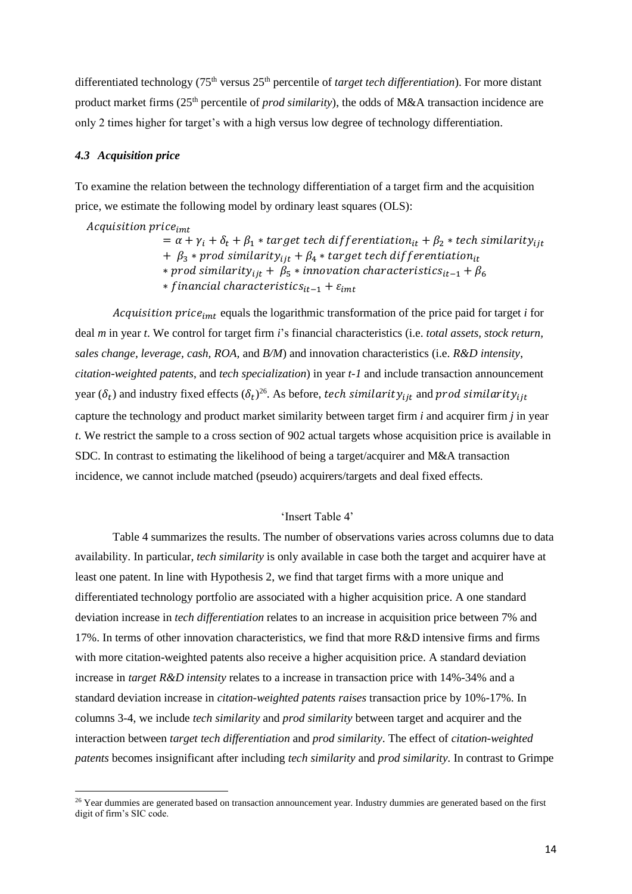differentiated technology (75th versus 25th percentile of *target tech differentiation*). For more distant product market firms (25<sup>th</sup> percentile of *prod similarity*), the odds of M&A transaction incidence are only 2 times higher for target's with a high versus low degree of technology differentiation.

### *4.3 Acquisition price*

To examine the relation between the technology differentiation of a target firm and the acquisition price, we estimate the following model by ordinary least squares (OLS):

Acquisition price<sub>imt</sub>

 $= \alpha + \gamma_i + \delta_t + \beta_1 *$  target tech differentiation<sub>it</sub> +  $\beta_2 *$  tech similarity<sub>iit</sub> +  $\beta_3$  \* prod similarity<sub>iit</sub> +  $\beta_4$  \* target tech differentiation<sub>it</sub>  $*$  prod similarity<sub>iit</sub> +  $\beta_5 *$  innovation characteristics<sub>it-1</sub> +  $\beta_6$ *∗* financial characteristics<sub>it-1</sub> +  $\varepsilon_{imt}$ 

Acquisition price<sub>imt</sub> equals the logarithmic transformation of the price paid for target *i* for deal *m* in year *t*. We control for target firm *i*'s financial characteristics (i.e. *total assets, stock return, sales change, leverage, cash, ROA,* and *B/M*) and innovation characteristics (i.e. *R&D intensity*, *citation-weighted patents*, and *tech specialization*) in year *t-1* and include transaction announcement year ( $\delta_t$ ) and industry fixed effects ( $\delta_t$ )<sup>26</sup>. As before, t*ech similarity<sub>ijt</sub>* and prod similarity<sub>ijt</sub> capture the technology and product market similarity between target firm *i* and acquirer firm *j* in year *t*. We restrict the sample to a cross section of 902 actual targets whose acquisition price is available in SDC. In contrast to estimating the likelihood of being a target/acquirer and M&A transaction incidence, we cannot include matched (pseudo) acquirers/targets and deal fixed effects.

## 'Insert Table 4'

Table 4 summarizes the results. The number of observations varies across columns due to data availability. In particular, *tech similarity* is only available in case both the target and acquirer have at least one patent. In line with Hypothesis 2, we find that target firms with a more unique and differentiated technology portfolio are associated with a higher acquisition price. A one standard deviation increase in *tech differentiation* relates to an increase in acquisition price between 7% and 17%. In terms of other innovation characteristics, we find that more R&D intensive firms and firms with more citation-weighted patents also receive a higher acquisition price. A standard deviation increase in *target R&D intensity* relates to a increase in transaction price with 14%-34% and a standard deviation increase in *citation-weighted patents raises* transaction price by 10%-17%. In columns 3-4, we include *tech similarity* and *prod similarity* between target and acquirer and the interaction between *target tech differentiation* and *prod similarity*. The effect of *citation-weighted patents* becomes insignificant after including *tech similarity* and *prod similarity.* In contrast to Grimpe

 $26$  Year dummies are generated based on transaction announcement year. Industry dummies are generated based on the first digit of firm's SIC code.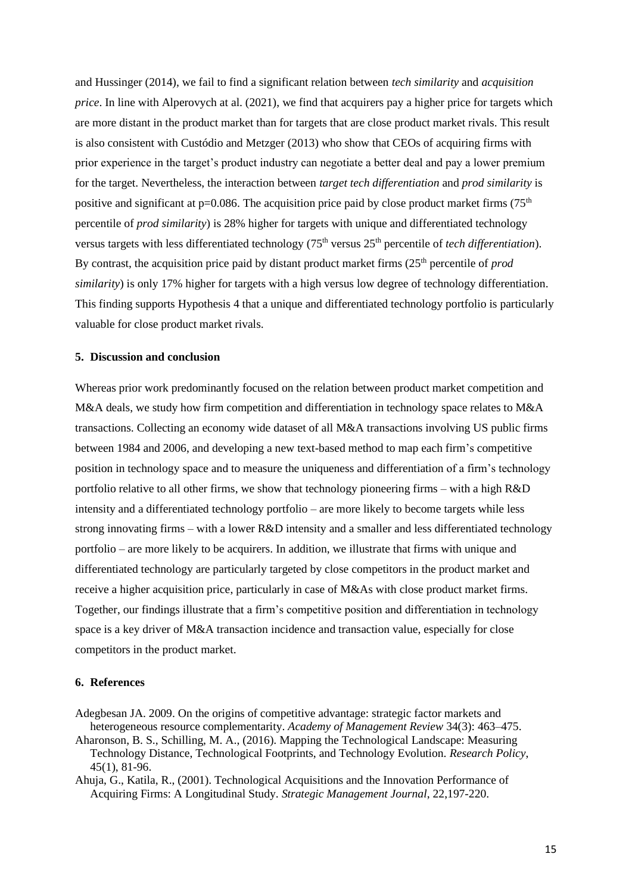and Hussinger (2014), we fail to find a significant relation between *tech similarity* and *acquisition price*. In line with Alperovych at al. (2021), we find that acquirers pay a higher price for targets which are more distant in the product market than for targets that are close product market rivals. This result is also consistent with Custódio and Metzger (2013) who show that CEOs of acquiring firms with prior experience in the target's product industry can negotiate a better deal and pay a lower premium for the target. Nevertheless, the interaction between *target tech differentiation* and *prod similarity* is positive and significant at  $p=0.086$ . The acquisition price paid by close product market firms (75<sup>th</sup>) percentile of *prod similarity*) is 28% higher for targets with unique and differentiated technology versus targets with less differentiated technology (75<sup>th</sup> versus 25<sup>th</sup> percentile of *tech differentiation*). By contrast, the acquisition price paid by distant product market firms (25<sup>th</sup> percentile of *prod similarity*) is only 17% higher for targets with a high versus low degree of technology differentiation. This finding supports Hypothesis 4 that a unique and differentiated technology portfolio is particularly valuable for close product market rivals.

## **5. Discussion and conclusion**

Whereas prior work predominantly focused on the relation between product market competition and M&A deals, we study how firm competition and differentiation in technology space relates to M&A transactions. Collecting an economy wide dataset of all M&A transactions involving US public firms between 1984 and 2006, and developing a new text-based method to map each firm's competitive position in technology space and to measure the uniqueness and differentiation of a firm's technology portfolio relative to all other firms, we show that technology pioneering firms – with a high R&D intensity and a differentiated technology portfolio – are more likely to become targets while less strong innovating firms – with a lower R&D intensity and a smaller and less differentiated technology portfolio – are more likely to be acquirers. In addition, we illustrate that firms with unique and differentiated technology are particularly targeted by close competitors in the product market and receive a higher acquisition price, particularly in case of M&As with close product market firms. Together, our findings illustrate that a firm's competitive position and differentiation in technology space is a key driver of M&A transaction incidence and transaction value, especially for close competitors in the product market.

#### **6. References**

Adegbesan JA. 2009. On the origins of competitive advantage: strategic factor markets and heterogeneous resource complementarity. *Academy of Management Review* 34(3): 463–475.

Aharonson, B. S., Schilling, M. A., (2016). Mapping the Technological Landscape: Measuring Technology Distance, Technological Footprints, and Technology Evolution. *Research Policy*, 45(1), 81-96.

Ahuja, G., Katila, R., (2001). Technological Acquisitions and the Innovation Performance of Acquiring Firms: A Longitudinal Study. *Strategic Management Journal*, 22,197-220.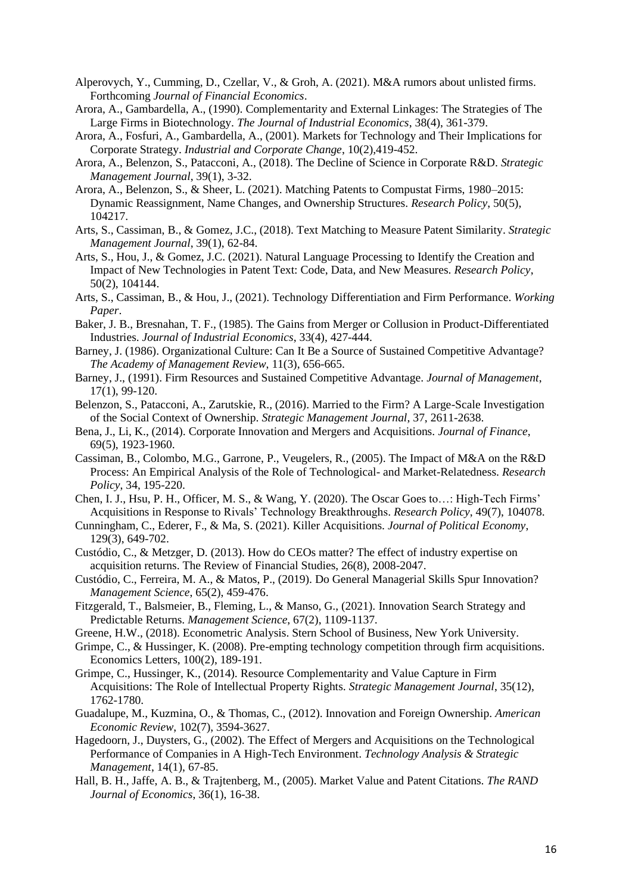- Alperovych, Y., Cumming, D., Czellar, V., & Groh, A. (2021). M&A rumors about unlisted firms. Forthcoming *Journal of Financial Economics*.
- Arora, A., Gambardella, A., (1990). Complementarity and External Linkages: The Strategies of The Large Firms in Biotechnology. *The Journal of Industrial Economics*, 38(4), 361-379.
- Arora, A., Fosfuri, A., Gambardella, A., (2001). Markets for Technology and Their Implications for Corporate Strategy. *Industrial and Corporate Change*, 10(2),419-452.
- Arora, A., Belenzon, S., Patacconi, A., (2018). The Decline of Science in Corporate R&D. *Strategic Management Journal*, 39(1), 3-32.
- Arora, A., Belenzon, S., & Sheer, L. (2021). Matching Patents to Compustat Firms, 1980–2015: Dynamic Reassignment, Name Changes, and Ownership Structures. *Research Policy*, 50(5), 104217.
- Arts, S., Cassiman, B., & Gomez, J.C., (2018). Text Matching to Measure Patent Similarity. *Strategic Management Journal*, 39(1), 62-84.
- Arts, S., Hou, J., & Gomez, J.C. (2021). Natural Language Processing to Identify the Creation and Impact of New Technologies in Patent Text: Code, Data, and New Measures. *Research Policy*, 50(2), 104144.
- Arts, S., Cassiman, B., & Hou, J., (2021). Technology Differentiation and Firm Performance. *Working Paper*.
- Baker, J. B., Bresnahan, T. F., (1985). The Gains from Merger or Collusion in Product-Differentiated Industries. *Journal of Industrial Economics*, 33(4), 427-444.
- Barney, J. (1986). Organizational Culture: Can It Be a Source of Sustained Competitive Advantage? *The Academy of Management Review*, 11(3), 656-665.
- Barney, J., (1991). Firm Resources and Sustained Competitive Advantage. *Journal of Management*, 17(1), 99-120.
- Belenzon, S., Patacconi, A., Zarutskie, R., (2016). Married to the Firm? A Large-Scale Investigation of the Social Context of Ownership. *Strategic Management Journal*, 37, 2611-2638.
- Bena, J., Li, K., (2014). Corporate Innovation and Mergers and Acquisitions. *Journal of Finance*, 69(5), 1923-1960.
- Cassiman, B., Colombo, M.G., Garrone, P., Veugelers, R., (2005). The Impact of M&A on the R&D Process: An Empirical Analysis of the Role of Technological- and Market-Relatedness. *Research Policy*, 34, 195-220.
- Chen, I. J., Hsu, P. H., Officer, M. S., & Wang, Y. (2020). The Oscar Goes to…: High-Tech Firms' Acquisitions in Response to Rivals' Technology Breakthroughs. *Research Policy*, 49(7), 104078.
- Cunningham, C., Ederer, F., & Ma, S. (2021). Killer Acquisitions. *Journal of Political Economy*, 129(3), 649-702.
- Custódio, C., & Metzger, D. (2013). How do CEOs matter? The effect of industry expertise on acquisition returns. The Review of Financial Studies, 26(8), 2008-2047.
- Custódio, C., Ferreira, M. A., & Matos, P., (2019). Do General Managerial Skills Spur Innovation? *Management Science*, 65(2), 459-476.
- Fitzgerald, T., Balsmeier, B., Fleming, L., & Manso, G., (2021). Innovation Search Strategy and Predictable Returns. *Management Science*, 67(2), 1109-1137*.*
- Greene, H.W., (2018). Econometric Analysis. Stern School of Business, New York University.
- Grimpe, C., & Hussinger, K. (2008). Pre-empting technology competition through firm acquisitions. Economics Letters, 100(2), 189-191.
- Grimpe, C., Hussinger, K., (2014). Resource Complementarity and Value Capture in Firm Acquisitions: The Role of Intellectual Property Rights. *Strategic Management Journal*, 35(12), 1762-1780.
- Guadalupe, M., Kuzmina, O., & Thomas, C., (2012). Innovation and Foreign Ownership. *American Economic Review*, 102(7), 3594-3627.
- Hagedoorn, J., Duysters, G., (2002). The Effect of Mergers and Acquisitions on the Technological Performance of Companies in A High-Tech Environment. *Technology Analysis & Strategic Management*, 14(1), 67-85.
- Hall, B. H., Jaffe, A. B., & Trajtenberg, M., (2005). Market Value and Patent Citations. *The RAND Journal of Economics*, 36(1), 16-38.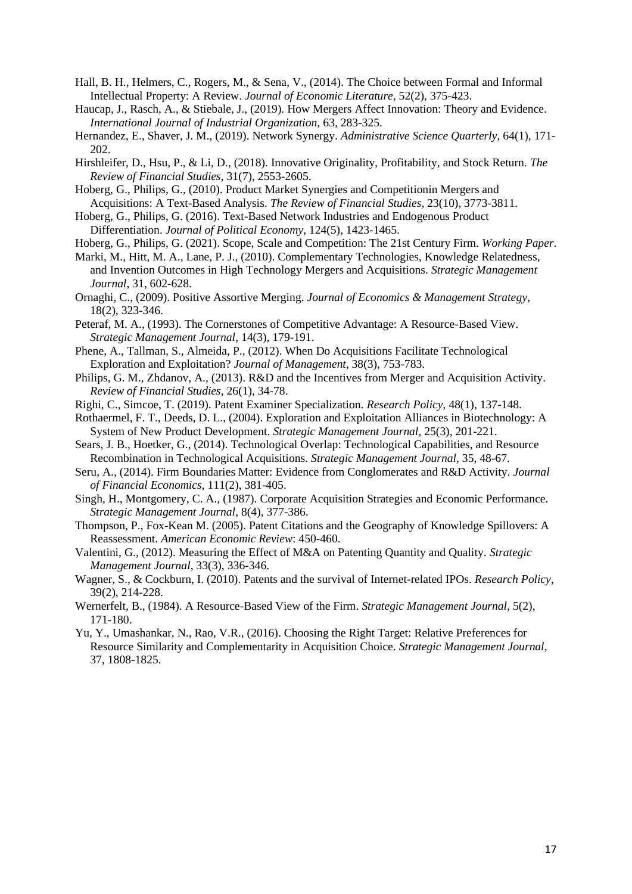- Hall, B. H., Helmers, C., Rogers, M., & Sena, V., (2014). The Choice between Formal and Informal Intellectual Property: A Review. *Journal of Economic Literature*, 52(2), 375-423.
- Haucap, J., Rasch, A., & Stiebale, J., (2019). How Mergers Affect Innovation: Theory and Evidence*. International Journal of Industrial Organization*, 63, 283-325.
- Hernandez, E., Shaver, J. M., (2019). Network Synergy. *Administrative Science Quarterly*, 64(1), 171- 202.
- Hirshleifer, D., Hsu, P., & Li, D., (2018). Innovative Originality, Profitability, and Stock Return. *The Review of Financial Studies*, 31(7), 2553-2605.
- Hoberg, G., Philips, G., (2010). Product Market Synergies and Competitionin Mergers and Acquisitions: A Text-Based Analysis. *The Review of Financial Studies*, 23(10), 3773-3811.
- Hoberg, G., Philips, G. (2016). Text-Based Network Industries and Endogenous Product Differentiation. *Journal of Political Economy*, 124(5), 1423-1465.
- Hoberg, G., Philips, G. (2021). Scope, Scale and Competition: The 21st Century Firm. *Working Paper*.
- Marki, M., Hitt, M. A., Lane, P. J., (2010). Complementary Technologies, Knowledge Relatedness, and Invention Outcomes in High Technology Mergers and Acquisitions. *Strategic Management Journal*, 31, 602-628.
- Ornaghi, C., (2009). Positive Assortive Merging. *Journal of Economics & Management Strategy*, 18(2), 323-346.
- Peteraf, M. A., (1993). The Cornerstones of Competitive Advantage: A Resource-Based View. *Strategic Management Journal*, 14(3), 179-191.
- Phene, A., Tallman, S., Almeida, P., (2012). When Do Acquisitions Facilitate Technological Exploration and Exploitation? *Journal of Management*, 38(3), 753-783.
- Philips, G. M., Zhdanov, A., (2013). R&D and the Incentives from Merger and Acquisition Activity. *Review of Financial Studies*, 26(1), 34-78.
- Righi, C., Simcoe, T. (2019). Patent Examiner Specialization. *Research Policy*, 48(1), 137-148.
- Rothaermel, F. T., Deeds, D. L., (2004). Exploration and Exploitation Alliances in Biotechnology: A System of New Product Development. *Strategic Management Journal*, 25(3), 201-221.
- Sears, J. B., Hoetker, G., (2014). Technological Overlap: Technological Capabilities, and Resource Recombination in Technological Acquisitions. *Strategic Management Journal*, 35, 48-67.
- Seru, A., (2014). Firm Boundaries Matter: Evidence from Conglomerates and R&D Activity. *Journal of Financial Economics*, 111(2), 381-405.
- Singh, H., Montgomery, C. A., (1987). Corporate Acquisition Strategies and Economic Performance. *Strategic Management Journal*, 8(4), 377-386.
- Thompson, P., Fox-Kean M. (2005). Patent Citations and the Geography of Knowledge Spillovers: A Reassessment. *American Economic Review*: 450-460.
- Valentini, G., (2012). Measuring the Effect of M&A on Patenting Quantity and Quality. *Strategic Management Journal*, 33(3), 336-346.
- Wagner, S., & Cockburn, I. (2010). Patents and the survival of Internet-related IPOs. *Research Policy*, 39(2), 214-228.
- Wernerfelt, B., (1984). A Resource-Based View of the Firm. *Strategic Management Journal*, 5(2), 171-180.
- Yu, Y., Umashankar, N., Rao, V.R., (2016). Choosing the Right Target: Relative Preferences for Resource Similarity and Complementarity in Acquisition Choice. *Strategic Management Journal*, 37, 1808-1825.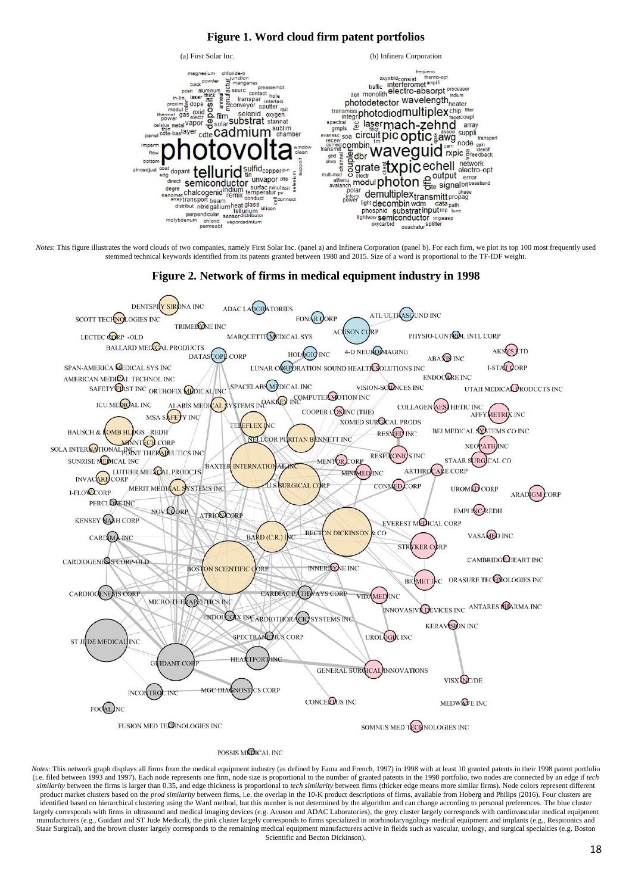# **Figure 1. Word cloud firm patent portfolios**



*Notes*: This figure illustrates the word clouds of two companies, namely First Solar Inc. (panel a) and Infinera Corporation (panel b). For each firm, we plot its top 100 most frequently used stemmed technical keywords identified from its patents granted between 1980 and 2015. Size of a word is proportional to the TF-IDF weight.



**Figure 2. Network of firms in medical equipment industry in 1998**

POSSIS MCDICAL INC

*Notes*: This network graph displays all firms from the medical equipment industry (as defined by Fama and French, 1997) in 1998 with at least 10 granted patents in their 1998 patent portfolio (i.e. filed between 1993 and 1997). Each node represents one firm, node size is proportional to the number of granted patents in the 1998 portfolio, two nodes are connected by an edge if *tech similarity* between the firms is larger than 0.35, and edge thickness is proportional to *tech similarity* between firms (thicker edge means more similar firms). Node colors represent different product market clusters based on the *prod similarity* between firms, i.e. the overlap in the 10-K product descriptions of firms, available from Hoberg and Philips (2016). Four clusters are identified based on hierarchical clustering using the Ward method, but this number is not determined by the algorithm and can change according to personal preferences. The blue cluster largely corresponds with firms in ultrasound and medical imaging devices (e.g. Acuson and ADAC Laboratories), the grey cluster largely corresponds with cardiovascular medical equipment manufacturers (e.g., Guidant and ST Jude Medical), the pink cluster largely corresponds to firms specialized in otorhinolaryngology medical equipment and implants (e.g., Respironics and Staar Surgical), and the brown cluster largely corresponds to the remaining medical equipment manufacturers active in fields such as vascular, urology, and surgical specialties (e.g. Boston Scientific and Becton Dickinson).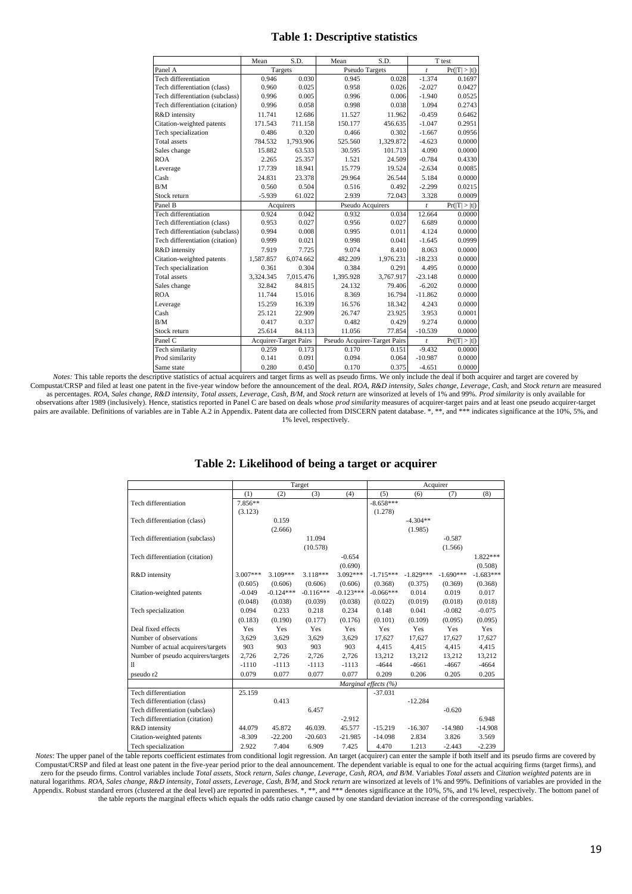## **Table 1: Descriptive statistics**

|                                 | Mean      | S.D.                         | Mean                         | S.D.      |                | T test        |
|---------------------------------|-----------|------------------------------|------------------------------|-----------|----------------|---------------|
| Panel A                         | Targets   |                              | <b>Pseudo Targets</b>        |           | $\mathfrak{t}$ | Pr( T  >  t ) |
| Tech differentiation            | 0.946     | 0.030                        | 0.945                        | 0.028     | $-1.374$       | 0.1697        |
| Tech differentiation (class)    | 0.960     | 0.025                        | 0.958                        | 0.026     | $-2.027$       | 0.0427        |
| Tech differentiation (subclass) | 0.996     | 0.005                        | 0.996                        | 0.006     | $-1.940$       | 0.0525        |
| Tech differentiation (citation) | 0.996     | 0.058                        | 0.998                        | 0.038     | 1.094          | 0.2743        |
| R&D intensity                   | 11.741    | 12.686                       | 11.527                       | 11.962    | $-0.459$       | 0.6462        |
| Citation-weighted patents       | 171.543   | 711.158                      | 150.177                      | 456.635   | $-1.047$       | 0.2951        |
| Tech specialization             | 0.486     | 0.320                        | 0.466                        | 0.302     | $-1.667$       | 0.0956        |
| <b>Total</b> assets             | 784.532   | 1,793.906                    | 525.560                      | 1,329.872 | $-4.623$       | 0.0000        |
| Sales change                    | 15.882    | 63.533                       | 30.595                       | 101.713   | 4.090          | 0.0000        |
| <b>ROA</b>                      | 2.265     | 25.357                       | 1.521                        | 24.509    | $-0.784$       | 0.4330        |
| Leverage                        | 17.739    | 18.941                       | 15.779                       | 19.524    | $-2.634$       | 0.0085        |
| Cash                            | 24.831    | 23.378                       | 29.964                       | 26.544    | 5.184          | 0.0000        |
| B/M                             | 0.560     | 0.504                        | 0.516                        | 0.492     | $-2.299$       | 0.0215        |
| Stock return                    | $-5.939$  | 61.022                       | 2.939                        | 72.043    | 3.328          | 0.0009        |
| Panel B                         | Acquirers |                              | Pseudo Acquirers             |           | $\mathfrak{t}$ | Pr( T  >  t ) |
| Tech differentiation            | 0.924     | 0.042                        | 0.932                        | 0.034     | 12.664         | 0.0000        |
| Tech differentiation (class)    | 0.953     | 0.027                        | 0.956                        | 0.027     | 6.689          | 0.0000        |
| Tech differentiation (subclass) | 0.994     | 0.008                        | 0.995                        | 0.011     | 4.124          | 0.0000        |
| Tech differentiation (citation) | 0.999     | 0.021                        | 0.998                        | 0.041     | $-1.645$       | 0.0999        |
| R&D intensity                   | 7.919     | 7.725                        | 9.074                        | 8.410     | 8.063          | 0.0000        |
| Citation-weighted patents       | 1,587.857 | 6,074.662                    | 482.209                      | 1,976.231 | $-18.233$      | 0.0000        |
| Tech specialization             | 0.361     | 0.304                        | 0.384                        | 0.291     | 4.495          | 0.0000        |
| <b>Total</b> assets             | 3,324.345 | 7,015.476                    | 1,395.928                    | 3,767.917 | $-23.148$      | 0.0000        |
| Sales change                    | 32.842    | 84.815                       | 24.132                       | 79.406    | $-6.202$       | 0.0000        |
| <b>ROA</b>                      | 11.744    | 15.016                       | 8.369                        | 16.794    | $-11.862$      | 0.0000        |
| Leverage                        | 15.259    | 16.339                       | 16.576                       | 18.342    | 4.243          | 0.0000        |
| Cash                            | 25.121    | 22.909                       | 26.747                       | 23.925    | 3.953          | 0.0001        |
| B/M                             | 0.417     | 0.337                        | 0.482                        | 0.429     | 9.274          | 0.0000        |
| Stock return                    | 25.614    | 84.113                       | 11.056                       | 77.854    | $-10.539$      | 0.0000        |
| Panel C                         |           | <b>Acquirer-Target Pairs</b> | Pseudo Acquirer-Target Pairs |           | $\mathfrak{t}$ | Pr( T  >  t ) |
| Tech similarity                 | 0.259     | 0.173                        | 0.170                        | 0.151     | $-9.432$       | 0.0000        |
| Prod similarity                 | 0.141     | 0.091                        | 0.094                        | 0.064     | $-10.987$      | 0.0000        |
| Same state                      | 0.280     | 0.450                        | 0.170                        | 0.375     | $-4.651$       | 0.0000        |

*Notes:* This table reports the descriptive statistics of actual acquirers and target firms as well as pseudo firms. We only include the deal if both acquirer and target are covered by Compustat/CRSP and filed at least one patent in the five-year window before the announcement of the deal. ROA, R&D intensity, Sales change, Leverage, Cash, and Stock return are measured experimental and the state of the state of the state of the state of the state of the state of the state of the state of the state of the state of the state of the state of the state of the state of the state of the state observations after 1989 (inclusively). Hence, statistics reported in Panel C are based on deals whose *prod similarity* measures of acquirer-target pairs and at least one pseudo acquirer-target pairs are available. Definitions of variables are in Table A.2 in Appendix. Patent data are collected from DISCERN patent database. \*, \*\*, and \*\*\* indicates significance at the 10%, 5%, and 1% level, respectively.

#### **Table 2: Likelihood of being a target or acquirer**

|                                    | Target     |                      |             |             | Acquirer    |             |             |             |
|------------------------------------|------------|----------------------|-------------|-------------|-------------|-------------|-------------|-------------|
|                                    | (1)        | (2)                  | (3)         | (4)         | (5)         | (6)         | (7)         | (8)         |
| Tech differentiation               | 7.856**    |                      |             |             | $-8.658***$ |             |             |             |
|                                    | (3.123)    |                      |             |             | (1.278)     |             |             |             |
| Tech differentiation (class)       |            | 0.159                |             |             |             | $-4.304**$  |             |             |
|                                    |            | (2.666)              |             |             |             | (1.985)     |             |             |
| Tech differentiation (subclass)    |            |                      | 11.094      |             |             |             | $-0.587$    |             |
|                                    |            |                      | (10.578)    |             |             |             | (1.566)     |             |
| Tech differentiation (citation)    |            |                      |             | $-0.654$    |             |             |             | $1.822***$  |
|                                    |            |                      |             | (0.690)     |             |             |             | (0.508)     |
| R&D intensity                      | $3.007***$ | $3.109***$           | $3.118***$  | $3.092***$  | $-1.715***$ | $-1.829***$ | $-1.690***$ | $-1.683***$ |
|                                    | (0.605)    | (0.606)              | (0.606)     | (0.606)     | (0.368)     | (0.375)     | (0.369)     | (0.368)     |
| Citation-weighted patents          | $-0.049$   | $-0.124***$          | $-0.116***$ | $-0.123***$ | $-0.066***$ | 0.014       | 0.019       | 0.017       |
|                                    | (0.048)    | (0.038)              | (0.039)     | (0.038)     | (0.022)     | (0.019)     | (0.018)     | (0.018)     |
| Tech specialization                | 0.094      | 0.233                | 0.218       | 0.234       | 0.148       | 0.041       | $-0.082$    | $-0.075$    |
|                                    | (0.183)    | (0.190)              | (0.177)     | (0.176)     | (0.101)     | (0.109)     | (0.095)     | (0.095)     |
| Deal fixed effects                 | <b>Yes</b> | Yes                  | Yes         | <b>Yes</b>  | <b>Yes</b>  | <b>Yes</b>  | <b>Yes</b>  | Yes         |
| Number of observations             | 3.629      | 3,629                | 3,629       | 3,629       | 17.627      | 17,627      | 17.627      | 17,627      |
| Number of actual acquirers/targets | 903        | 903                  | 903         | 903         | 4,415       | 4,415       | 4,415       | 4,415       |
| Number of pseudo acquirers/targets | 2,726      | 2,726                | 2,726       | 2.726       | 13,212      | 13,212      | 13,212      | 13,212      |
| 11                                 | $-1110$    | $-1113$              | $-1113$     | $-1113$     | $-4644$     | $-4661$     | $-4667$     | $-4664$     |
| pseudo r2                          | 0.079      | 0.077                | 0.077       | 0.077       | 0.209       | 0.206       | 0.205       | 0.205       |
|                                    |            | Marginal effects (%) |             |             |             |             |             |             |
| Tech differentiation               | 25.159     |                      |             |             | $-37.031$   |             |             |             |
| Tech differentiation (class)       |            | 0.413                |             |             |             | $-12.284$   |             |             |
| Tech differentiation (subclass)    |            |                      | 6.457       |             |             |             | $-0.620$    |             |
| Tech differentiation (citation)    |            |                      |             | $-2.912$    |             |             |             | 6.948       |
| R&D intensity                      | 44.079     | 45.872               | 46.039.     | 45.577      | $-15.219$   | $-16.307$   | $-14.980$   | $-14.908$   |
| Citation-weighted patents          | $-8.309$   | $-22.200$            | $-20.603$   | $-21.985$   | $-14.098$   | 2.834       | 3.826       | 3.569       |
| Tech specialization                | 2.922      | 7.404                | 6.909       | 7.425       | 4.470       | 1.213       | $-2.443$    | $-2.239$    |

*Notes*: The upper panel of the table reports coefficient estimates from conditional logit regression. An target (acquirer) can enter the sample if both itself and its pseudo firms are covered by Compustat/CRSP and filed at least one patent in the five-year period prior to the deal announcement. The dependent variable is equal to one for the actual acquiring firms (target firms), and zero for the pseudo firms. Control variables include *Total assets, Stock return, Sales change, Leverage, Cash, ROA, and B/M*. Variables *Total assets* and *Citation weighted patents* are in natural logarithms. ROA, Sales change, R&D intensity, Total assets, Leverage, Cash, B/M, and Stock return are winsorized at levels of 1% and 99%. Definitions of variables are provided in the Appendix. Robust standard errors (clustered at the deal level) are reported in parentheses. \*, \*\*, and \*\*\* denotes significance at the 10%, 5%, and 1% level, respectively. The bottom panel of the table reports the marginal effects which equals the odds ratio change caused by one standard deviation increase of the corresponding variables.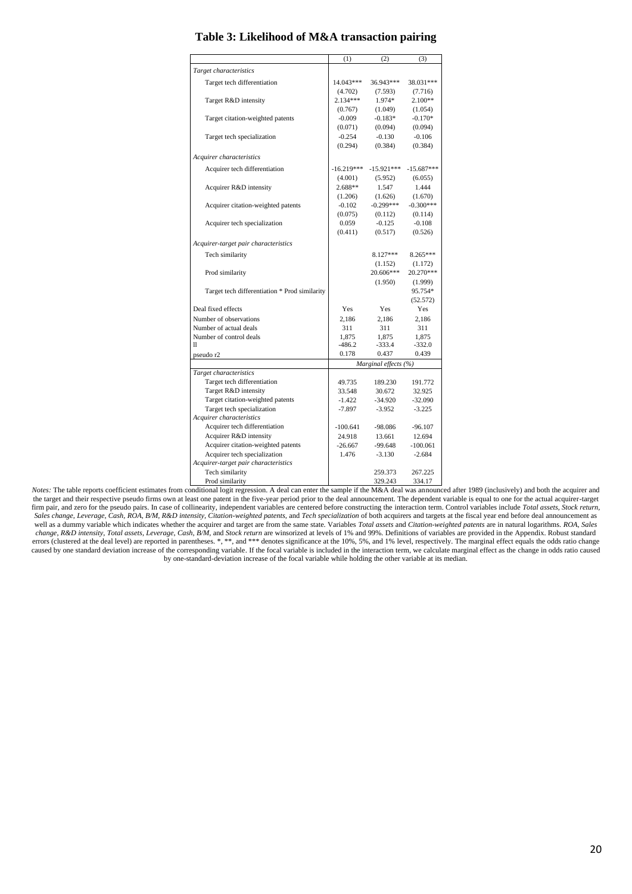|                                                                                                                   | (1)                  | (2)                  | (3)              |
|-------------------------------------------------------------------------------------------------------------------|----------------------|----------------------|------------------|
| Target characteristics                                                                                            |                      |                      |                  |
| Target tech differentiation                                                                                       | 14.043***            | 36.943***            | 38.031***        |
|                                                                                                                   | (4.702)              | (7.593)              | (7.716)          |
| Target R&D intensity                                                                                              | $2.134***$           | 1.974*               | $2.100**$        |
|                                                                                                                   | (0.767)              | (1.049)              | (1.054)          |
| Target citation-weighted patents                                                                                  | $-0.009$             | $-0.183*$            | $-0.170*$        |
|                                                                                                                   | (0.071)              | (0.094)              | (0.094)          |
| Target tech specialization                                                                                        | $-0.254$             | $-0.130$             | $-0.106$         |
|                                                                                                                   | (0.294)              | (0.384)              | (0.384)          |
| Acquirer characteristics                                                                                          |                      |                      |                  |
|                                                                                                                   | $-16.219***$         | $-15.921***$         | $-15.687***$     |
| Acquirer tech differentiation                                                                                     |                      |                      |                  |
| Acquirer R&D intensity                                                                                            | (4.001)<br>$2.688**$ | (5.952)<br>1.547     | (6.055)<br>1.444 |
|                                                                                                                   | (1.206)              | (1.626)              | (1.670)          |
| Acquirer citation-weighted patents                                                                                | $-0.102$             | $-0.299***$          | $-0.300***$      |
|                                                                                                                   | (0.075)              | (0.112)              | (0.114)          |
| Acquirer tech specialization                                                                                      | 0.059                | $-0.125$             | $-0.108$         |
|                                                                                                                   | (0.411)              | (0.517)              | (0.526)          |
|                                                                                                                   |                      |                      |                  |
| Acquirer-target pair characteristics                                                                              |                      |                      |                  |
| Tech similarity                                                                                                   |                      | $8.127***$           | 8.265***         |
|                                                                                                                   |                      | (1.152)              | (1.172)          |
| Prod similarity                                                                                                   |                      | 20.606***            | 20.270***        |
|                                                                                                                   |                      | (1.950)              | (1.999)          |
| Target tech differentiation * Prod similarity                                                                     |                      |                      | 95.754*          |
| Deal fixed effects                                                                                                | Yes                  | Yes                  | (52.572)<br>Yes  |
| Number of observations                                                                                            | 2,186                | 2,186                | 2,186            |
| Number of actual deals                                                                                            | 311                  | 311                  | 311              |
| Number of control deals                                                                                           | 1,875                | 1,875                | 1,875            |
| 11                                                                                                                | $-486.2$             | $-333.4$             | $-332.0$         |
| pseudo r2                                                                                                         | 0.178                | 0.437                | 0.439            |
|                                                                                                                   |                      | Marginal effects (%) |                  |
| Target characteristics                                                                                            |                      |                      |                  |
| Target tech differentiation                                                                                       | 49.735               | 189.230              | 191.772          |
| Target R&D intensity                                                                                              | 33.548               | 30.672               | 32.925           |
| Target citation-weighted patents                                                                                  | $-1.422$             | $-34.920$            | $-32.090$        |
| Target tech specialization                                                                                        | $-7.897$             | $-3.952$             | $-3.225$         |
| Acquirer characteristics                                                                                          |                      |                      |                  |
| Acquirer tech differentiation                                                                                     | $-100.641$           | $-98.086$            | $-96.107$        |
| Acquirer R&D intensity                                                                                            | 24.918               | 13.661               | 12.694           |
| Acquirer citation-weighted patents                                                                                | $-26.667$            | $-99.648$            | $-100.061$       |
| Acquirer tech specialization                                                                                      | 1.476                | $-3.130$             | $-2.684$         |
| Acquirer-target pair characteristics                                                                              |                      |                      |                  |
| Tech similarity                                                                                                   |                      | 259.373              | 267.225          |
| Prod similarity<br>onditional logit regression. A deal can enter the sample if the $M\&\Delta$ deal was announced |                      | 329.243              | 334.17           |

**Table 3: Likelihood of M&A transaction pairing**

*Notes:* The table reports coefficient estimates from conditional logit regression. A deal can enter the sample if the M&A deal was announced after 1989 (inclusively) and both the acquirer and the target and their respective pseudo firms own at least one patent in the five-year period prior to the deal announcement. The dependent variable is equal to one for the actual acquirer-target firm pair, and zero for the pseudo pairs. In case of collinearity, independent variables are centered before constructing the interaction term. Control variables include *Total assets, Stock return,*  Sales change, Leverage, Cash, ROA, B/M, R&D intensity, Citation-weighted patents, and Tech specialization of both acquirers and targets at the fiscal year end before deal announcement as well as a dummy variable which indicates whether the acquirer and target are from the same state. Variables *Total assets* and *Citation-weighted patents* are in natural logarithms. *ROA*, *Sales*  change, R&D intensity, Total assets, Leverage, Cash, B/M, and Stock return are winsorized at levels of 1% and 99%. Definitions of variables are provided in the Appendix. Robust standard errors (clustered at the deal level) are reported in parentheses. \*, \*\*, and \*\*\* denotes significance at the 10%, 5%, and 1% level, respectively. The marginal effect equals the odds ratio change caused by one standard deviation increase of the corresponding variable. If the focal variable is included in the interaction term, we calculate marginal effect as the change in odds ratio caused by one-standard-deviation increase of the focal variable while holding the other variable at its median.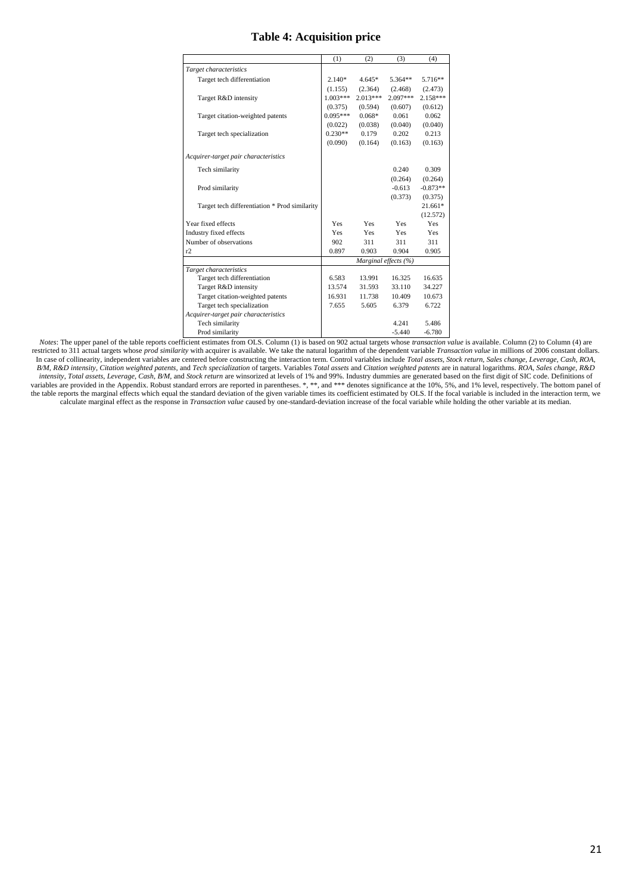# **Table 4: Acquisition price**

|                                               | (1)                  | (2)        | (3)        | (4)        |
|-----------------------------------------------|----------------------|------------|------------|------------|
| Target characteristics                        |                      |            |            |            |
| Target tech differentiation                   | $2.140*$             | $4.645*$   | $5.364**$  | 5.716**    |
|                                               | (1.155)              | (2.364)    | (2.468)    | (2.473)    |
| Target R&D intensity                          | $1.003***$           | $2.013***$ | $2.097***$ | $2.158***$ |
|                                               | (0.375)              | (0.594)    | (0.607)    | (0.612)    |
| Target citation-weighted patents              | $0.095***$           | $0.068*$   | 0.061      | 0.062      |
|                                               | (0.022)              | (0.038)    | (0.040)    | (0.040)    |
| Target tech specialization                    | $0.230**$            | 0.179      | 0.202      | 0.213      |
|                                               | (0.090)              | (0.164)    | (0.163)    | (0.163)    |
| Acquirer-target pair characteristics          |                      |            |            |            |
|                                               |                      |            |            |            |
| Tech similarity                               |                      |            | 0.240      | 0.309      |
|                                               |                      |            | (0.264)    | (0.264)    |
| Prod similarity                               |                      |            | $-0.613$   | $-0.873**$ |
|                                               |                      |            | (0.373)    | (0.375)    |
| Target tech differentiation * Prod similarity |                      |            |            | $21.661*$  |
|                                               |                      |            |            | (12.572)   |
| Year fixed effects                            | <b>Yes</b>           | <b>Yes</b> | Yes        | Yes        |
| <b>Industry fixed effects</b>                 | <b>Yes</b>           | <b>Yes</b> | Yes        | <b>Yes</b> |
| Number of observations                        | 902                  | 311        | 311        | 311        |
| r2                                            | 0.897                | 0.903      | 0.904      | 0.905      |
|                                               | Marginal effects (%) |            |            |            |
| Target characteristics                        |                      |            |            |            |
| Target tech differentiation                   | 6.583                | 13.991     | 16.325     | 16.635     |
| Target R&D intensity                          | 13.574               | 31.593     | 33.110     | 34.227     |
| Target citation-weighted patents              | 16.931               | 11.738     | 10.409     | 10.673     |
| Target tech specialization                    | 7.655                | 5.605      | 6.379      | 6.722      |
| Acquirer-target pair characteristics          |                      |            |            |            |
| Tech similarity                               |                      |            | 4.241      | 5.486      |
| Prod similarity                               |                      |            | $-5.440$   | $-6.780$   |

*Notes*: The upper panel of the table reports coefficient estimates from OLS. Column (1) is based on 902 actual targets whose *transaction value* is available. Column (2) to Column (4) are restricted to 311 actual targets whose *prod similarity* with acquirer is available. We take the natural logarithm of the dependent variable *Transaction value* in millions of 2006 constant dollars. In case of collinearity, independent variables are centered before constructing the interaction term. Control variables include *Total assets, Stock return, Sales change, Leverage, Cash, ROA,*  B/M, R&D intensity, Citation weighted patents, and Tech specialization of targets. Variables Total assets and Citation weighted patents are in natural logarithms. ROA, Sales change, R&D intensity, Total assets, Leverage, Cash, B/M, and Stock return are winsorized at levels of 1% and 99%. Industry dummies are generated based on the first digit of SIC code. Definitions of variables are provided in the Appendix. Robust standard errors are reported in parentheses. \*, \*\*, and \*\*\* denotes significance at the 10%, 5%, and 1% level, respectively. The bottom panel of the table reports the marginal effects which equal the standard deviation of the given variable times its coefficient estimated by OLS. If the focal variable is included in the interaction term, we calculate marginal effect as the response in *Transaction value* caused by one-standard-deviation increase of the focal variable while holding the other variable at its median.